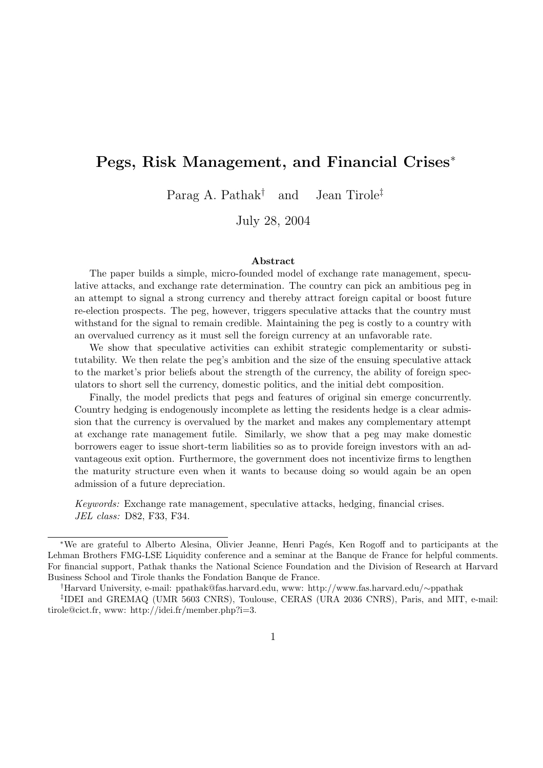## Pegs, Risk Management, and Financial Crises<sup>∗</sup>

Parag A. Pathak<sup>†</sup> and Jean Tirole<sup>‡</sup>

July 28, 2004

#### Abstract

The paper builds a simple, micro-founded model of exchange rate management, speculative attacks, and exchange rate determination. The country can pick an ambitious peg in an attempt to signal a strong currency and thereby attract foreign capital or boost future re-election prospects. The peg, however, triggers speculative attacks that the country must withstand for the signal to remain credible. Maintaining the peg is costly to a country with an overvalued currency as it must sell the foreign currency at an unfavorable rate.

We show that speculative activities can exhibit strategic complementarity or substitutability. We then relate the peg's ambition and the size of the ensuing speculative attack to the market's prior beliefs about the strength of the currency, the ability of foreign speculators to short sell the currency, domestic politics, and the initial debt composition.

Finally, the model predicts that pegs and features of original sin emerge concurrently. Country hedging is endogenously incomplete as letting the residents hedge is a clear admission that the currency is overvalued by the market and makes any complementary attempt at exchange rate management futile. Similarly, we show that a peg may make domestic borrowers eager to issue short-term liabilities so as to provide foreign investors with an advantageous exit option. Furthermore, the government does not incentivize firms to lengthen the maturity structure even when it wants to because doing so would again be an open admission of a future depreciation.

Keywords: Exchange rate management, speculative attacks, hedging, financial crises. JEL class: D82, F33, F34.

<sup>∗</sup>We are grateful to Alberto Alesina, Olivier Jeanne, Henri Pag´es, Ken Rogoff and to participants at the Lehman Brothers FMG-LSE Liquidity conference and a seminar at the Banque de France for helpful comments. For financial support, Pathak thanks the National Science Foundation and the Division of Research at Harvard Business School and Tirole thanks the Fondation Banque de France.

<sup>†</sup>Harvard University, e-mail: ppathak@fas.harvard.edu, www: http://www.fas.harvard.edu/∼ppathak

<sup>‡</sup> IDEI and GREMAQ (UMR 5603 CNRS), Toulouse, CERAS (URA 2036 CNRS), Paris, and MIT, e-mail: tirole@cict.fr, www: http://idei.fr/member.php?i=3.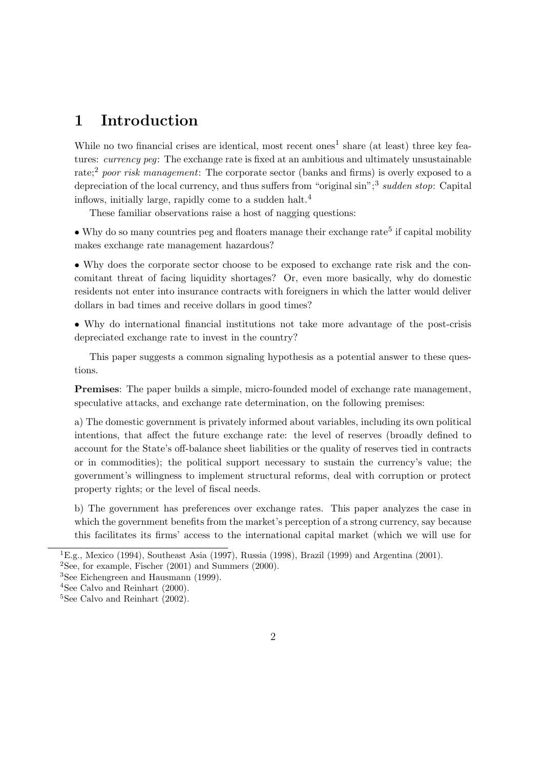## 1 Introduction

While no two financial crises are identical, most recent ones<sup>1</sup> share (at least) three key features: currency peg: The exchange rate is fixed at an ambitious and ultimately unsustainable rate;<sup>2</sup> poor risk management: The corporate sector (banks and firms) is overly exposed to a depreciation of the local currency, and thus suffers from "original sin";<sup>3</sup> sudden stop: Capital inflows, initially large, rapidly come to a sudden halt.<sup>4</sup>

These familiar observations raise a host of nagging questions:

 $\bullet$  Why do so many countries peg and floaters manage their exchange rate<sup>5</sup> if capital mobility makes exchange rate management hazardous?

• Why does the corporate sector choose to be exposed to exchange rate risk and the concomitant threat of facing liquidity shortages? Or, even more basically, why do domestic residents not enter into insurance contracts with foreigners in which the latter would deliver dollars in bad times and receive dollars in good times?

• Why do international financial institutions not take more advantage of the post-crisis depreciated exchange rate to invest in the country?

This paper suggests a common signaling hypothesis as a potential answer to these questions.

Premises: The paper builds a simple, micro-founded model of exchange rate management, speculative attacks, and exchange rate determination, on the following premises:

a) The domestic government is privately informed about variables, including its own political intentions, that affect the future exchange rate: the level of reserves (broadly defined to account for the State's off-balance sheet liabilities or the quality of reserves tied in contracts or in commodities); the political support necessary to sustain the currency's value; the government's willingness to implement structural reforms, deal with corruption or protect property rights; or the level of fiscal needs.

b) The government has preferences over exchange rates. This paper analyzes the case in which the government benefits from the market's perception of a strong currency, say because this facilitates its firms' access to the international capital market (which we will use for

<sup>&</sup>lt;sup>1</sup>E.g., Mexico (1994), Southeast Asia (1997), Russia (1998), Brazil (1999) and Argentina (2001). <sup>2</sup>See, for example, Fischer  $(2001)$  and Summers  $(2000)$ .

<sup>3</sup>See Eichengreen and Hausmann (1999).

<sup>4</sup>See Calvo and Reinhart (2000).

 ${}^{5}$ See Calvo and Reinhart (2002).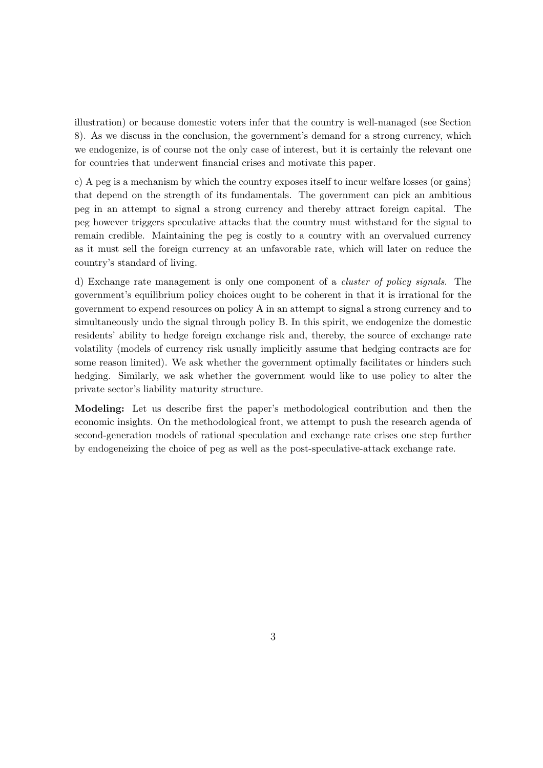illustration) or because domestic voters infer that the country is well-managed (see Section 8). As we discuss in the conclusion, the government's demand for a strong currency, which we endogenize, is of course not the only case of interest, but it is certainly the relevant one for countries that underwent financial crises and motivate this paper.

c) A peg is a mechanism by which the country exposes itself to incur welfare losses (or gains) that depend on the strength of its fundamentals. The government can pick an ambitious peg in an attempt to signal a strong currency and thereby attract foreign capital. The peg however triggers speculative attacks that the country must withstand for the signal to remain credible. Maintaining the peg is costly to a country with an overvalued currency as it must sell the foreign currency at an unfavorable rate, which will later on reduce the country's standard of living.

d) Exchange rate management is only one component of a cluster of policy signals. The government's equilibrium policy choices ought to be coherent in that it is irrational for the government to expend resources on policy A in an attempt to signal a strong currency and to simultaneously undo the signal through policy B. In this spirit, we endogenize the domestic residents' ability to hedge foreign exchange risk and, thereby, the source of exchange rate volatility (models of currency risk usually implicitly assume that hedging contracts are for some reason limited). We ask whether the government optimally facilitates or hinders such hedging. Similarly, we ask whether the government would like to use policy to alter the private sector's liability maturity structure.

Modeling: Let us describe first the paper's methodological contribution and then the economic insights. On the methodological front, we attempt to push the research agenda of second-generation models of rational speculation and exchange rate crises one step further by endogeneizing the choice of peg as well as the post-speculative-attack exchange rate.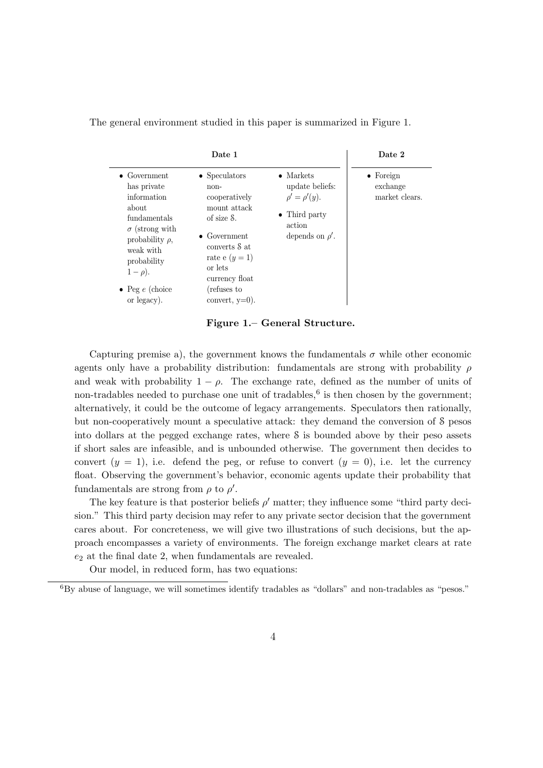The general environment studied in this paper is summarized in Figure 1.

|                                                                                                                                                                                                                    | Date 1                                                                                                                                                                                                   |                                                                                                                | Date 2                                          |
|--------------------------------------------------------------------------------------------------------------------------------------------------------------------------------------------------------------------|----------------------------------------------------------------------------------------------------------------------------------------------------------------------------------------------------------|----------------------------------------------------------------------------------------------------------------|-------------------------------------------------|
| $\bullet$ Government<br>has private<br>information<br>about<br>fundamentals<br>$\sigma$ (strong with<br>probability $\rho$ ,<br>weak with<br>probability<br>$1-\rho$ ).<br>$\bullet$ Peg e (choice)<br>or legacy). | $\bullet$ Speculators<br>non-<br>cooperatively<br>mount attack<br>of size S.<br>$\bullet$ Government<br>converts S at<br>rate e $(y=1)$<br>or lets<br>currency float<br>(refuses to<br>convert, $y=0$ ). | $\bullet$ Markets<br>update beliefs:<br>$\rho' = \rho'(y).$<br>• Third party<br>action<br>depends on $\rho'$ . | $\bullet$ Foreign<br>exchange<br>market clears. |

Figure 1.– General Structure.

Capturing premise a), the government knows the fundamentals  $\sigma$  while other economic agents only have a probability distribution: fundamentals are strong with probability  $\rho$ and weak with probability  $1 - \rho$ . The exchange rate, defined as the number of units of non-tradables needed to purchase one unit of tradables,<sup>6</sup> is then chosen by the government; alternatively, it could be the outcome of legacy arrangements. Speculators then rationally, but non-cooperatively mount a speculative attack: they demand the conversion of S pesos into dollars at the pegged exchange rates, where S is bounded above by their peso assets if short sales are infeasible, and is unbounded otherwise. The government then decides to convert  $(y = 1)$ , i.e. defend the peg, or refuse to convert  $(y = 0)$ , i.e. let the currency float. Observing the government's behavior, economic agents update their probability that fundamentals are strong from  $\rho$  to  $\rho'$ .

The key feature is that posterior beliefs  $\rho'$  matter; they influence some "third party decision." This third party decision may refer to any private sector decision that the government cares about. For concreteness, we will give two illustrations of such decisions, but the approach encompasses a variety of environments. The foreign exchange market clears at rate  $e_2$  at the final date 2, when fundamentals are revealed.

Our model, in reduced form, has two equations:

 ${}^{6}$ By abuse of language, we will sometimes identify tradables as "dollars" and non-tradables as "pesos."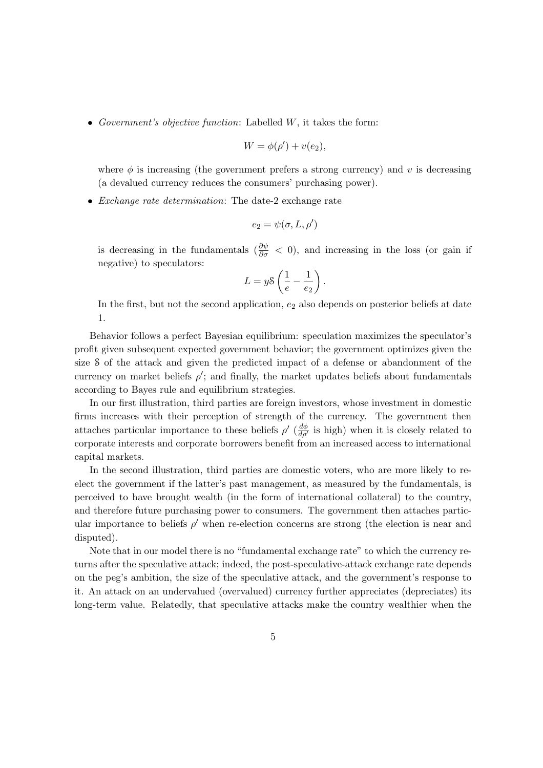• Government's objective function: Labelled  $W$ , it takes the form:

$$
W = \phi(\rho') + v(e_2),
$$

where  $\phi$  is increasing (the government prefers a strong currency) and v is decreasing (a devalued currency reduces the consumers' purchasing power).

• Exchange rate determination: The date-2 exchange rate

$$
e_2 = \psi(\sigma, L, \rho')
$$

is decreasing in the fundamentals  $\left(\frac{\partial \psi}{\partial \sigma} < 0\right)$ , and increasing in the loss (or gain if negative) to speculators:

$$
L = y\delta\left(\frac{1}{e} - \frac{1}{e_2}\right).
$$

In the first, but not the second application,  $e_2$  also depends on posterior beliefs at date 1.

Behavior follows a perfect Bayesian equilibrium: speculation maximizes the speculator's profit given subsequent expected government behavior; the government optimizes given the size S of the attack and given the predicted impact of a defense or abandonment of the currency on market beliefs  $\rho'$ ; and finally, the market updates beliefs about fundamentals according to Bayes rule and equilibrium strategies.

In our first illustration, third parties are foreign investors, whose investment in domestic firms increases with their perception of strength of the currency. The government then attaches particular importance to these beliefs  $\rho'$  ( $\frac{d\phi}{d\rho'}$  is high) when it is closely related to corporate interests and corporate borrowers benefit from an increased access to international capital markets.

In the second illustration, third parties are domestic voters, who are more likely to reelect the government if the latter's past management, as measured by the fundamentals, is perceived to have brought wealth (in the form of international collateral) to the country, and therefore future purchasing power to consumers. The government then attaches particular importance to beliefs  $\rho'$  when re-election concerns are strong (the election is near and disputed).

Note that in our model there is no "fundamental exchange rate" to which the currency returns after the speculative attack; indeed, the post-speculative-attack exchange rate depends on the peg's ambition, the size of the speculative attack, and the government's response to it. An attack on an undervalued (overvalued) currency further appreciates (depreciates) its long-term value. Relatedly, that speculative attacks make the country wealthier when the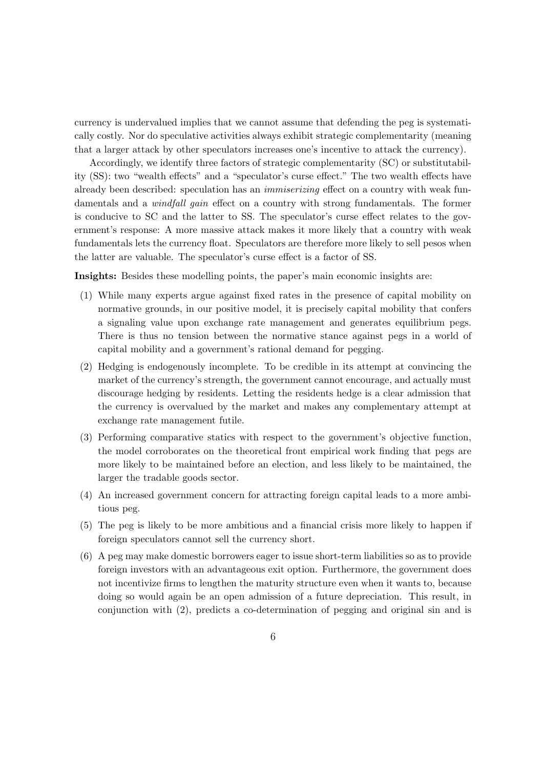currency is undervalued implies that we cannot assume that defending the peg is systematically costly. Nor do speculative activities always exhibit strategic complementarity (meaning that a larger attack by other speculators increases one's incentive to attack the currency).

Accordingly, we identify three factors of strategic complementarity (SC) or substitutability (SS): two "wealth effects" and a "speculator's curse effect." The two wealth effects have already been described: speculation has an immiserizing effect on a country with weak fundamentals and a *windfall gain* effect on a country with strong fundamentals. The former is conducive to SC and the latter to SS. The speculator's curse effect relates to the government's response: A more massive attack makes it more likely that a country with weak fundamentals lets the currency float. Speculators are therefore more likely to sell pesos when the latter are valuable. The speculator's curse effect is a factor of SS.

Insights: Besides these modelling points, the paper's main economic insights are:

- (1) While many experts argue against fixed rates in the presence of capital mobility on normative grounds, in our positive model, it is precisely capital mobility that confers a signaling value upon exchange rate management and generates equilibrium pegs. There is thus no tension between the normative stance against pegs in a world of capital mobility and a government's rational demand for pegging.
- (2) Hedging is endogenously incomplete. To be credible in its attempt at convincing the market of the currency's strength, the government cannot encourage, and actually must discourage hedging by residents. Letting the residents hedge is a clear admission that the currency is overvalued by the market and makes any complementary attempt at exchange rate management futile.
- (3) Performing comparative statics with respect to the government's objective function, the model corroborates on the theoretical front empirical work finding that pegs are more likely to be maintained before an election, and less likely to be maintained, the larger the tradable goods sector.
- (4) An increased government concern for attracting foreign capital leads to a more ambitious peg.
- (5) The peg is likely to be more ambitious and a financial crisis more likely to happen if foreign speculators cannot sell the currency short.
- (6) A peg may make domestic borrowers eager to issue short-term liabilities so as to provide foreign investors with an advantageous exit option. Furthermore, the government does not incentivize firms to lengthen the maturity structure even when it wants to, because doing so would again be an open admission of a future depreciation. This result, in conjunction with (2), predicts a co-determination of pegging and original sin and is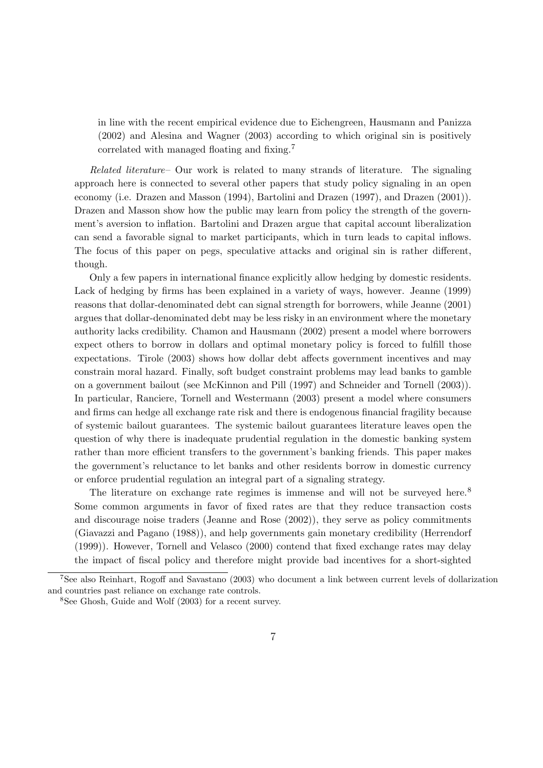in line with the recent empirical evidence due to Eichengreen, Hausmann and Panizza (2002) and Alesina and Wagner (2003) according to which original sin is positively correlated with managed floating and fixing.<sup>7</sup>

Related literature– Our work is related to many strands of literature. The signaling approach here is connected to several other papers that study policy signaling in an open economy (i.e. Drazen and Masson (1994), Bartolini and Drazen (1997), and Drazen (2001)). Drazen and Masson show how the public may learn from policy the strength of the government's aversion to inflation. Bartolini and Drazen argue that capital account liberalization can send a favorable signal to market participants, which in turn leads to capital inflows. The focus of this paper on pegs, speculative attacks and original sin is rather different, though.

Only a few papers in international finance explicitly allow hedging by domestic residents. Lack of hedging by firms has been explained in a variety of ways, however. Jeanne (1999) reasons that dollar-denominated debt can signal strength for borrowers, while Jeanne (2001) argues that dollar-denominated debt may be less risky in an environment where the monetary authority lacks credibility. Chamon and Hausmann (2002) present a model where borrowers expect others to borrow in dollars and optimal monetary policy is forced to fulfill those expectations. Tirole (2003) shows how dollar debt affects government incentives and may constrain moral hazard. Finally, soft budget constraint problems may lead banks to gamble on a government bailout (see McKinnon and Pill (1997) and Schneider and Tornell (2003)). In particular, Ranciere, Tornell and Westermann (2003) present a model where consumers and firms can hedge all exchange rate risk and there is endogenous financial fragility because of systemic bailout guarantees. The systemic bailout guarantees literature leaves open the question of why there is inadequate prudential regulation in the domestic banking system rather than more efficient transfers to the government's banking friends. This paper makes the government's reluctance to let banks and other residents borrow in domestic currency or enforce prudential regulation an integral part of a signaling strategy.

The literature on exchange rate regimes is immense and will not be surveyed here.<sup>8</sup> Some common arguments in favor of fixed rates are that they reduce transaction costs and discourage noise traders (Jeanne and Rose (2002)), they serve as policy commitments (Giavazzi and Pagano (1988)), and help governments gain monetary credibility (Herrendorf (1999)). However, Tornell and Velasco (2000) contend that fixed exchange rates may delay the impact of fiscal policy and therefore might provide bad incentives for a short-sighted

<sup>7</sup>See also Reinhart, Rogoff and Savastano (2003) who document a link between current levels of dollarization and countries past reliance on exchange rate controls.

<sup>8</sup>See Ghosh, Guide and Wolf (2003) for a recent survey.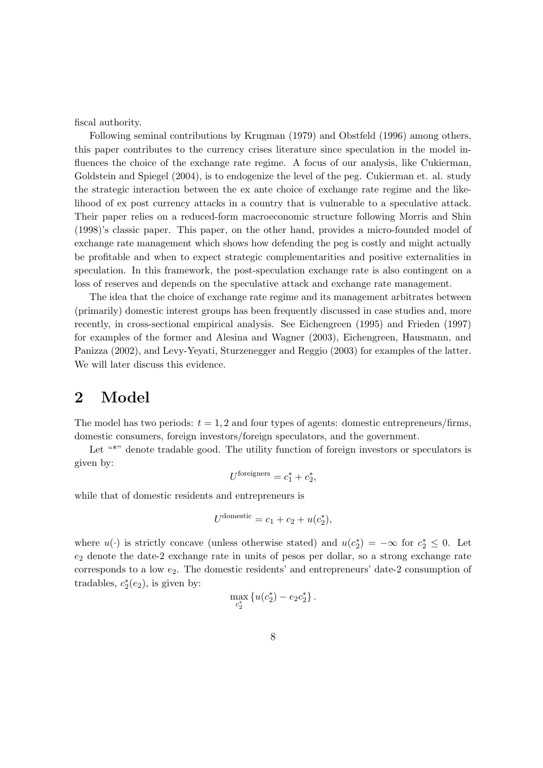fiscal authority.

Following seminal contributions by Krugman (1979) and Obstfeld (1996) among others, this paper contributes to the currency crises literature since speculation in the model influences the choice of the exchange rate regime. A focus of our analysis, like Cukierman, Goldstein and Spiegel (2004), is to endogenize the level of the peg. Cukierman et. al. study the strategic interaction between the ex ante choice of exchange rate regime and the likelihood of ex post currency attacks in a country that is vulnerable to a speculative attack. Their paper relies on a reduced-form macroeconomic structure following Morris and Shin (1998)'s classic paper. This paper, on the other hand, provides a micro-founded model of exchange rate management which shows how defending the peg is costly and might actually be profitable and when to expect strategic complementarities and positive externalities in speculation. In this framework, the post-speculation exchange rate is also contingent on a loss of reserves and depends on the speculative attack and exchange rate management.

The idea that the choice of exchange rate regime and its management arbitrates between (primarily) domestic interest groups has been frequently discussed in case studies and, more recently, in cross-sectional empirical analysis. See Eichengreen (1995) and Frieden (1997) for examples of the former and Alesina and Wagner (2003), Eichengreen, Hausmann, and Panizza (2002), and Levy-Yeyati, Sturzenegger and Reggio (2003) for examples of the latter. We will later discuss this evidence.

## 2 Model

The model has two periods:  $t = 1, 2$  and four types of agents: domestic entrepreneurs/firms, domestic consumers, foreign investors/foreign speculators, and the government.

Let "\*" denote tradable good. The utility function of foreign investors or speculators is given by:

$$
U^{\text{foreigners}} = c_1^* + c_2^*,
$$

while that of domestic residents and entrepreneurs is

$$
U^{\text{domestic}} = c_1 + c_2 + u(c_2^*),
$$

where  $u(\cdot)$  is strictly concave (unless otherwise stated) and  $u(c_2^*)$  $x_2^*$  = −∞ for  $c_2^*$  ≤ 0. Let  $e_2$  denote the date-2 exchange rate in units of pesos per dollar, so a strong exchange rate corresponds to a low  $e_2$ . The domestic residents' and entrepreneurs' date-2 consumption of tradables,  $c_2^*$  $2^*(e_2)$ , is given by:

$$
\max_{c_2^*} \left\{ u(c_2^*) - e_2 c_2^* \right\}.
$$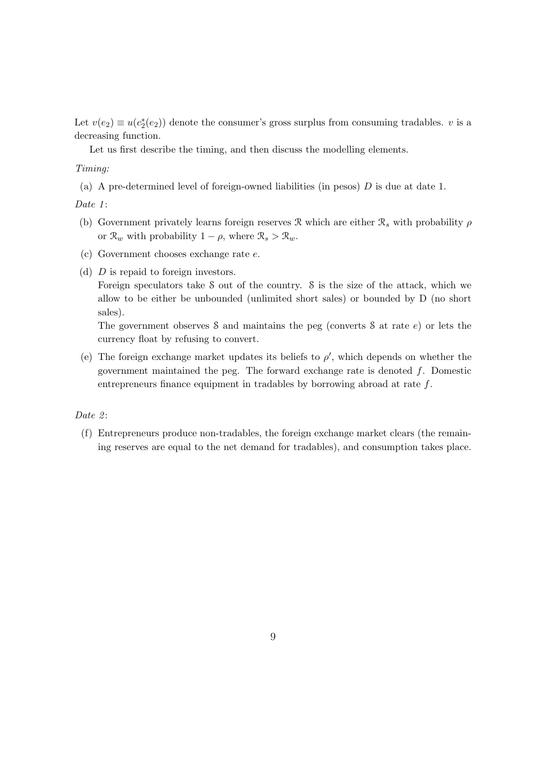Let  $v(e_2) \equiv u(c_2^*)$  $2(e_2)$  denote the consumer's gross surplus from consuming tradables. v is a decreasing function.

Let us first describe the timing, and then discuss the modelling elements.

#### Timing:

(a) A pre-determined level of foreign-owned liabilities (in pesos)  $D$  is due at date 1.

Date 1:

- (b) Government privately learns foreign reserves R which are either  $\mathcal{R}_s$  with probability  $\rho$ or  $\mathcal{R}_w$  with probability  $1 - \rho$ , where  $\mathcal{R}_s > \mathcal{R}_w$ .
- (c) Government chooses exchange rate e.
- (d) D is repaid to foreign investors.

Foreign speculators take S out of the country. S is the size of the attack, which we allow to be either be unbounded (unlimited short sales) or bounded by D (no short sales).

The government observes  $\delta$  and maintains the peg (converts  $\delta$  at rate  $e$ ) or lets the currency float by refusing to convert.

(e) The foreign exchange market updates its beliefs to  $\rho'$ , which depends on whether the government maintained the peg. The forward exchange rate is denoted  $f$ . Domestic entrepreneurs finance equipment in tradables by borrowing abroad at rate f.

Date  $2$ :

(f) Entrepreneurs produce non-tradables, the foreign exchange market clears (the remaining reserves are equal to the net demand for tradables), and consumption takes place.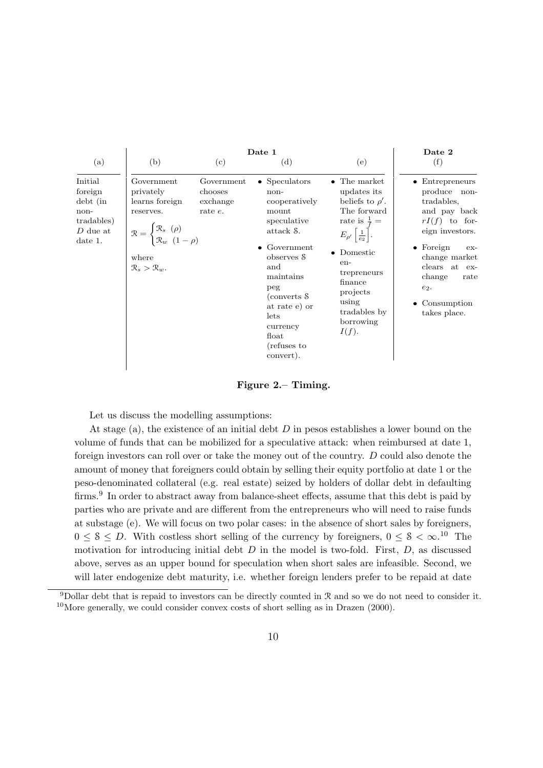

Figure 2.– Timing.

Let us discuss the modelling assumptions:

At stage (a), the existence of an initial debt  $D$  in pesos establishes a lower bound on the volume of funds that can be mobilized for a speculative attack: when reimbursed at date 1, foreign investors can roll over or take the money out of the country. D could also denote the amount of money that foreigners could obtain by selling their equity portfolio at date 1 or the peso-denominated collateral (e.g. real estate) seized by holders of dollar debt in defaulting firms.<sup>9</sup> In order to abstract away from balance-sheet effects, assume that this debt is paid by parties who are private and are different from the entrepreneurs who will need to raise funds at substage (e). We will focus on two polar cases: in the absence of short sales by foreigners,  $0 \leq \delta \leq D$ . With costless short selling of the currency by foreigners,  $0 \leq \delta \leq \infty$ .<sup>10</sup> The motivation for introducing initial debt  $D$  in the model is two-fold. First,  $D$ , as discussed above, serves as an upper bound for speculation when short sales are infeasible. Second, we will later endogenize debt maturity, i.e. whether foreign lenders prefer to be repaid at date

<sup>9</sup>Dollar debt that is repaid to investors can be directly counted in R and so we do not need to consider it. <sup>10</sup>More generally, we could consider convex costs of short selling as in Drazen (2000).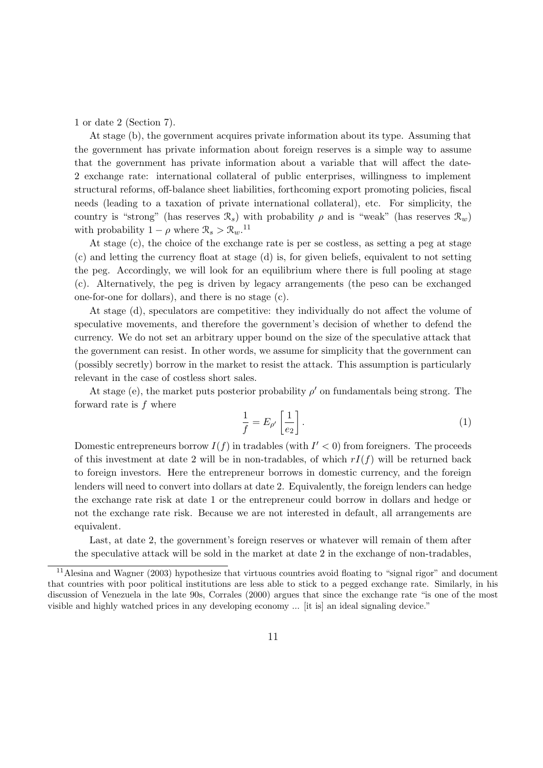1 or date 2 (Section 7).

At stage (b), the government acquires private information about its type. Assuming that the government has private information about foreign reserves is a simple way to assume that the government has private information about a variable that will affect the date-2 exchange rate: international collateral of public enterprises, willingness to implement structural reforms, off-balance sheet liabilities, forthcoming export promoting policies, fiscal needs (leading to a taxation of private international collateral), etc. For simplicity, the country is "strong" (has reserves  $\mathcal{R}_s$ ) with probability  $\rho$  and is "weak" (has reserves  $\mathcal{R}_w$ ) with probability  $1 - \rho$  where  $\mathcal{R}_s > \mathcal{R}_w$ .<sup>11</sup>

At stage (c), the choice of the exchange rate is per se costless, as setting a peg at stage (c) and letting the currency float at stage (d) is, for given beliefs, equivalent to not setting the peg. Accordingly, we will look for an equilibrium where there is full pooling at stage (c). Alternatively, the peg is driven by legacy arrangements (the peso can be exchanged one-for-one for dollars), and there is no stage (c).

At stage (d), speculators are competitive: they individually do not affect the volume of speculative movements, and therefore the government's decision of whether to defend the currency. We do not set an arbitrary upper bound on the size of the speculative attack that the government can resist. In other words, we assume for simplicity that the government can (possibly secretly) borrow in the market to resist the attack. This assumption is particularly relevant in the case of costless short sales.

At stage (e), the market puts posterior probability  $\rho'$  on fundamentals being strong. The forward rate is f where

$$
\frac{1}{f} = E_{\rho'} \left[ \frac{1}{e_2} \right]. \tag{1}
$$

Domestic entrepreneurs borrow  $I(f)$  in tradables (with  $I' < 0$ ) from foreigners. The proceeds of this investment at date 2 will be in non-tradables, of which  $rI(f)$  will be returned back to foreign investors. Here the entrepreneur borrows in domestic currency, and the foreign lenders will need to convert into dollars at date 2. Equivalently, the foreign lenders can hedge the exchange rate risk at date 1 or the entrepreneur could borrow in dollars and hedge or not the exchange rate risk. Because we are not interested in default, all arrangements are equivalent.

Last, at date 2, the government's foreign reserves or whatever will remain of them after the speculative attack will be sold in the market at date 2 in the exchange of non-tradables,

<sup>&</sup>lt;sup>11</sup> Alesina and Wagner (2003) hypothesize that virtuous countries avoid floating to "signal rigor" and document that countries with poor political institutions are less able to stick to a pegged exchange rate. Similarly, in his discussion of Venezuela in the late 90s, Corrales (2000) argues that since the exchange rate "is one of the most visible and highly watched prices in any developing economy ... [it is] an ideal signaling device."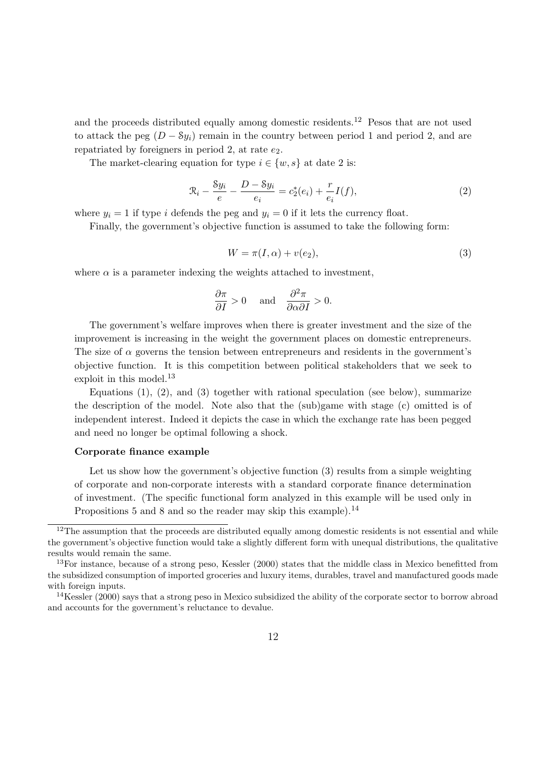and the proceeds distributed equally among domestic residents.<sup>12</sup> Pesos that are not used to attack the peg  $(D - Sy_i)$  remain in the country between period 1 and period 2, and are repatriated by foreigners in period 2, at rate  $e_2$ .

The market-clearing equation for type  $i \in \{w, s\}$  at date 2 is:

$$
\mathcal{R}_i - \frac{Sy_i}{e} - \frac{D - Sy_i}{e_i} = c_2^*(e_i) + \frac{r}{e_i}I(f),\tag{2}
$$

where  $y_i = 1$  if type i defends the peg and  $y_i = 0$  if it lets the currency float.

Finally, the government's objective function is assumed to take the following form:

$$
W = \pi(I, \alpha) + v(e_2),\tag{3}
$$

where  $\alpha$  is a parameter indexing the weights attached to investment,

$$
\frac{\partial \pi}{\partial I} > 0 \quad \text{and} \quad \frac{\partial^2 \pi}{\partial \alpha \partial I} > 0.
$$

The government's welfare improves when there is greater investment and the size of the improvement is increasing in the weight the government places on domestic entrepreneurs. The size of  $\alpha$  governs the tension between entrepreneurs and residents in the government's objective function. It is this competition between political stakeholders that we seek to exploit in this model.<sup>13</sup>

Equations  $(1), (2),$  and  $(3)$  together with rational speculation (see below), summarize the description of the model. Note also that the (sub)game with stage (c) omitted is of independent interest. Indeed it depicts the case in which the exchange rate has been pegged and need no longer be optimal following a shock.

#### Corporate finance example

Let us show how the government's objective function (3) results from a simple weighting of corporate and non-corporate interests with a standard corporate finance determination of investment. (The specific functional form analyzed in this example will be used only in Propositions 5 and 8 and so the reader may skip this example).<sup>14</sup>

<sup>&</sup>lt;sup>12</sup>The assumption that the proceeds are distributed equally among domestic residents is not essential and while the government's objective function would take a slightly different form with unequal distributions, the qualitative results would remain the same.

 $13$ For instance, because of a strong peso, Kessler (2000) states that the middle class in Mexico benefitted from the subsidized consumption of imported groceries and luxury items, durables, travel and manufactured goods made with foreign inputs.

<sup>&</sup>lt;sup>14</sup>Kessler (2000) says that a strong peso in Mexico subsidized the ability of the corporate sector to borrow abroad and accounts for the government's reluctance to devalue.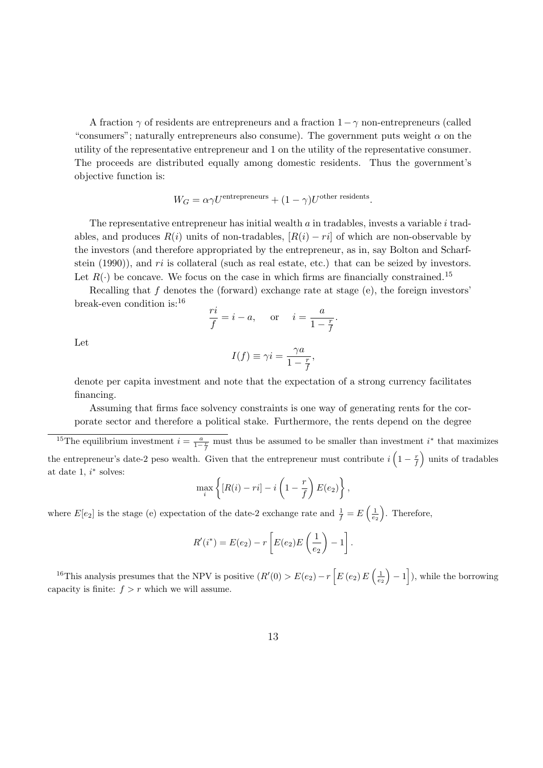A fraction  $\gamma$  of residents are entrepreneurs and a fraction  $1-\gamma$  non-entrepreneurs (called "consumers"; naturally entrepreneurs also consume). The government puts weight  $\alpha$  on the utility of the representative entrepreneur and 1 on the utility of the representative consumer. The proceeds are distributed equally among domestic residents. Thus the government's objective function is:

$$
W_G = \alpha \gamma U^{\text{entrepreneurs}} + (1 - \gamma) U^{\text{other residents}}.
$$

The representative entrepreneur has initial wealth  $a$  in tradables, invests a variable  $i$  tradables, and produces  $R(i)$  units of non-tradables,  $[R(i) - ri]$  of which are non-observable by the investors (and therefore appropriated by the entrepreneur, as in, say Bolton and Scharfstein  $(1990)$ ), and ri is collateral (such as real estate, etc.) that can be seized by investors. Let  $R(\cdot)$  be concave. We focus on the case in which firms are financially constrained.<sup>15</sup>

Recalling that  $f$  denotes the (forward) exchange rate at stage (e), the foreign investors' break-even condition is:<sup>16</sup>

$$
\frac{ri}{f} = i - a, \quad \text{or} \quad i = \frac{a}{1 - \frac{r}{f}}.
$$

Let

$$
I(f) \equiv \gamma i = \frac{\gamma a}{1 - \frac{r}{f}},
$$

denote per capita investment and note that the expectation of a strong currency facilitates financing.

Assuming that firms face solvency constraints is one way of generating rents for the corporate sector and therefore a political stake. Furthermore, the rents depend on the degree

<sup>15</sup>The equilibrium investment  $i = \frac{a}{1-\frac{r}{f}}$  must thus be assumed to be smaller than investment i<sup>\*</sup> that maximizes the entrepreneur's date-2 peso wealth. Given that the entrepreneur must contribute  $i\left(1-\frac{r}{f}\right)$  units of tradables at date  $1, i^*$  solves:

$$
\max_{i} \left\{ [R(i) - ri] - i \left( 1 - \frac{r}{f} \right) E(e_2) \right\},\,
$$

where  $E[e_2]$  is the stage (e) expectation of the date-2 exchange rate and  $\frac{1}{f} = E\left(\frac{1}{e_2}\right)$  $\frac{1}{e_2}$ . Therefore,

$$
R'(i^*) = E(e_2) - r \left[ E(e_2) E\left(\frac{1}{e_2}\right) - 1 \right].
$$

<sup>16</sup>This analysis presumes that the NPV is positive  $(R'(0) > E(e_2) - r \left[ E(e_2) E\left(\frac{1}{e_2}\right) \right]$  $\left(\frac{1}{e_2}\right) - 1$ , while the borrowing capacity is finite:  $f > r$  which we will assume.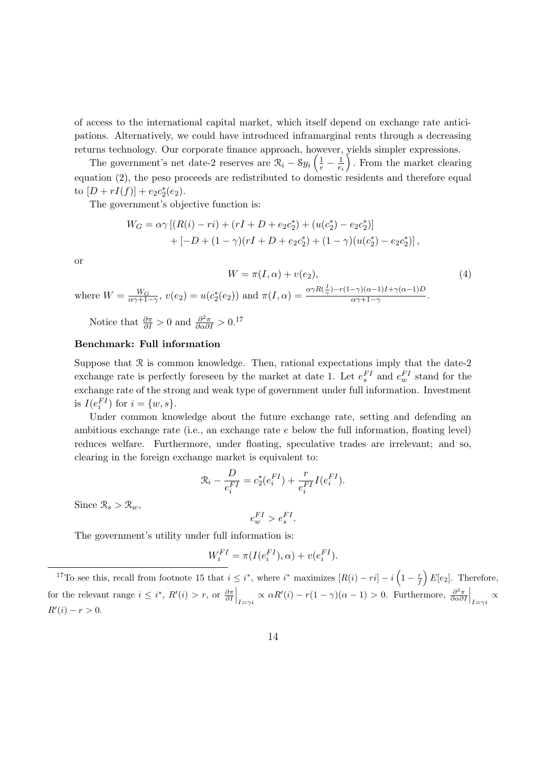of access to the international capital market, which itself depend on exchange rate anticipations. Alternatively, we could have introduced inframarginal rents through a decreasing returns technology. Our corporate finance approach, however, yields simpler expressions.

The government's net date-2 reserves are  $\mathcal{R}_i - \mathcal{S}y_i\left(\frac{1}{e} - \frac{1}{e_i}\right)$ . From the market clearing equation (2), the peso proceeds are redistributed to domestic residents and therefore equal to  $[D + rI(f)] + e_2c_2^*$  $_{2}^{*}(e_{2}).$ 

The government's objective function is:

$$
W_G = \alpha \gamma [(R(i) - ri) + (rI + D + e_2c_2^*) + (u(c_2^*) - e_2c_2^*)]
$$
  
+ 
$$
[-D + (1 - \gamma)(rI + D + e_2c_2^*) + (1 - \gamma)(u(c_2^*) - e_2c_2^*)],
$$

or

$$
W = \pi(I, \alpha) + v(e_2),
$$
  
\nwhere 
$$
W = \frac{W_G}{\alpha \gamma + 1 - \gamma}, v(e_2) = u(c_2^*(e_2)) \text{ and } \pi(I, \alpha) = \frac{\alpha \gamma R(\frac{I}{\gamma}) - r(1 - \gamma)(\alpha - 1)I + \gamma(\alpha - 1)D}{\alpha \gamma + 1 - \gamma}.
$$
 (4)

Notice that  $\frac{\partial \pi}{\partial I} > 0$  and  $\frac{\partial^2 \pi}{\partial \alpha \partial I} > 0.17$ 

### Benchmark: Full information

Suppose that  $\Re$  is common knowledge. Then, rational expectations imply that the date-2 exchange rate is perfectly foreseen by the market at date 1. Let  $e_s^{FI}$  and  $e_w^{FI}$  stand for the exchange rate of the strong and weak type of government under full information. Investment is  $I(e_i^{FI})$  for  $i = \{w, s\}.$ 

Under common knowledge about the future exchange rate, setting and defending an ambitious exchange rate (i.e., an exchange rate  $e$  below the full information, floating level) reduces welfare. Furthermore, under floating, speculative trades are irrelevant; and so, clearing in the foreign exchange market is equivalent to:

$$
\mathcal{R}_{i} - \frac{D}{e_{i}^{FI}} = c_{2}^{*}(e_{i}^{FI}) + \frac{r}{e_{i}^{FI}}I(e_{i}^{FI}).
$$

Since  $\mathcal{R}_s > \mathcal{R}_w$ ,

$$
e_w^{FI} > e_s^{FI}.
$$

The government's utility under full information is:

$$
W_i^{FI} = \pi(I(e_i^{FI}), \alpha) + v(e_i^{FI}).
$$

<sup>&</sup>lt;sup>17</sup>To see this, recall from footnote 15 that  $i \leq i^*$ , where  $i^*$  maximizes  $[R(i) - ri] - i(1 - \frac{r}{f})E[e_2]$ . Therefore, for the relevant range  $i \leq i^*$ ,  $R'(i) > r$ , or  $\frac{\partial \pi}{\partial I}\Big|_{I=\gamma i} \propto \alpha R'(i) - r(1-\gamma)(\alpha-1) > 0$ . Furthermore,  $\frac{\partial^2 \pi}{\partial \alpha \partial I}\Big|_{I=\gamma i} \propto$  $R'(i) - r > 0.$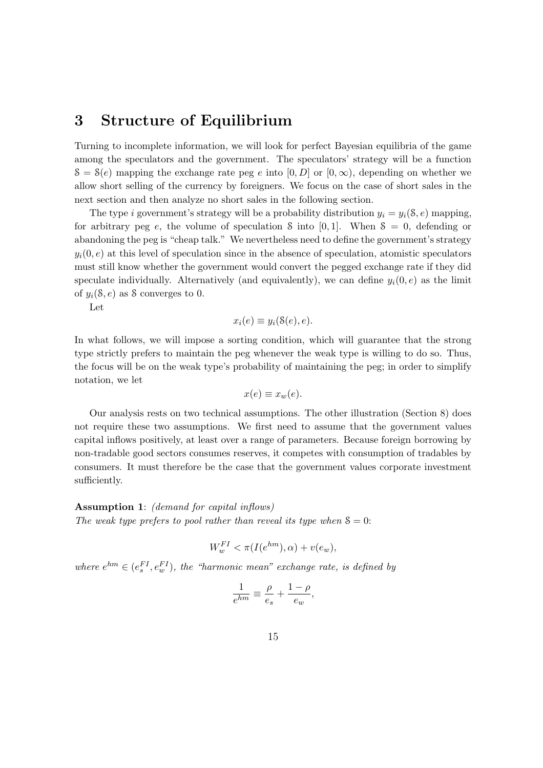## 3 Structure of Equilibrium

Turning to incomplete information, we will look for perfect Bayesian equilibria of the game among the speculators and the government. The speculators' strategy will be a function  $S = S(e)$  mapping the exchange rate peg e into  $[0, D]$  or  $[0, \infty)$ , depending on whether we allow short selling of the currency by foreigners. We focus on the case of short sales in the next section and then analyze no short sales in the following section.

The type i government's strategy will be a probability distribution  $y_i = y_i(\mathcal{S}, e)$  mapping, for arbitrary peg e, the volume of speculation S into  $[0, 1]$ . When  $S = 0$ , defending or abandoning the peg is "cheap talk." We nevertheless need to define the government's strategy  $y_i(0, e)$  at this level of speculation since in the absence of speculation, atomistic speculators must still know whether the government would convert the pegged exchange rate if they did speculate individually. Alternatively (and equivalently), we can define  $y_i(0, e)$  as the limit of  $y_i(\mathcal{S}, e)$  as S converges to 0.

Let

$$
x_i(e) \equiv y_i(\mathcal{S}(e), e).
$$

In what follows, we will impose a sorting condition, which will guarantee that the strong type strictly prefers to maintain the peg whenever the weak type is willing to do so. Thus, the focus will be on the weak type's probability of maintaining the peg; in order to simplify notation, we let

$$
x(e) \equiv x_w(e).
$$

Our analysis rests on two technical assumptions. The other illustration (Section 8) does not require these two assumptions. We first need to assume that the government values capital inflows positively, at least over a range of parameters. Because foreign borrowing by non-tradable good sectors consumes reserves, it competes with consumption of tradables by consumers. It must therefore be the case that the government values corporate investment sufficiently.

#### Assumption 1: (demand for capital inflows)

The weak type prefers to pool rather than reveal its type when  $\delta = 0$ :

$$
W_w^{FI} < \pi(I(e^{hm}), \alpha) + v(e_w),
$$

where  $e^{hm} \in (e_s^{FI}, e_w^{FI})$ , the "harmonic mean" exchange rate, is defined by

$$
\frac{1}{e^{hm}} \equiv \frac{\rho}{e_s} + \frac{1-\rho}{e_w},
$$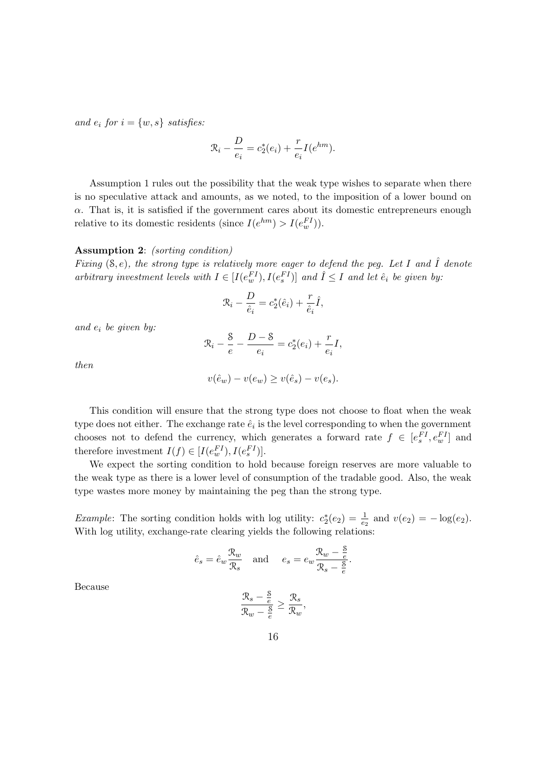and  $e_i$  for  $i = \{w, s\}$  satisfies:

$$
\mathcal{R}_i - \frac{D}{e_i} = c_2^*(e_i) + \frac{r}{e_i}I(e^{hm}).
$$

Assumption 1 rules out the possibility that the weak type wishes to separate when there is no speculative attack and amounts, as we noted, to the imposition of a lower bound on  $\alpha$ . That is, it is satisfied if the government cares about its domestic entrepreneurs enough relative to its domestic residents (since  $I(e^{hm}) > I(e_w^{FI})$ ).

#### Assumption 2: (sorting condition)

Fixing  $(8, e)$ , the strong type is relatively more eager to defend the peg. Let I and  $\hat{I}$  denote arbitrary investment levels with  $I \in [I(e_w^{\text{FI}}), I(e_s^{\text{FI}})]$  and  $\hat{I} \leq I$  and let  $\hat{e}_i$  be given by:

$$
\mathcal{R}_i - \frac{D}{\hat{e}_i} = c_2^*(\hat{e}_i) + \frac{r}{\hat{e}_i}\hat{I},
$$

and  $e_i$  be given by:

$$
\mathcal{R}_i - \frac{8}{e} - \frac{D - 8}{e_i} = c_2^*(e_i) + \frac{r}{e_i}I,
$$

then

$$
v(\hat{e}_w) - v(e_w) \ge v(\hat{e}_s) - v(e_s).
$$

This condition will ensure that the strong type does not choose to float when the weak type does not either. The exchange rate  $\hat{e}_i$  is the level corresponding to when the government chooses not to defend the currency, which generates a forward rate  $f \in [e_s^{FI}, e_w^{FI}]$  and therefore investment  $I(f) \in [I(e_w^{FI}), I(e_s^{FI})]$ .

We expect the sorting condition to hold because foreign reserves are more valuable to the weak type as there is a lower level of consumption of the tradable good. Also, the weak type wastes more money by maintaining the peg than the strong type.

*Example*: The sorting condition holds with log utility:  $c_2^*$  $y_2^*(e_2) = \frac{1}{e_2}$  and  $v(e_2) = -\log(e_2)$ . With log utility, exchange-rate clearing yields the following relations:

$$
\hat{e}_s = \hat{e}_w \frac{\mathcal{R}_w}{\mathcal{R}_s}
$$
 and  $e_s = e_w \frac{\mathcal{R}_w - \frac{\mathcal{S}}{e}}{\mathcal{R}_s - \frac{\mathcal{S}}{e}}$ .

Because

$$
\frac{\mathcal{R}_s - \frac{8}{e}}{\mathcal{R}_w - \frac{8}{e}} \ge \frac{\mathcal{R}_s}{\mathcal{R}_w}
$$

,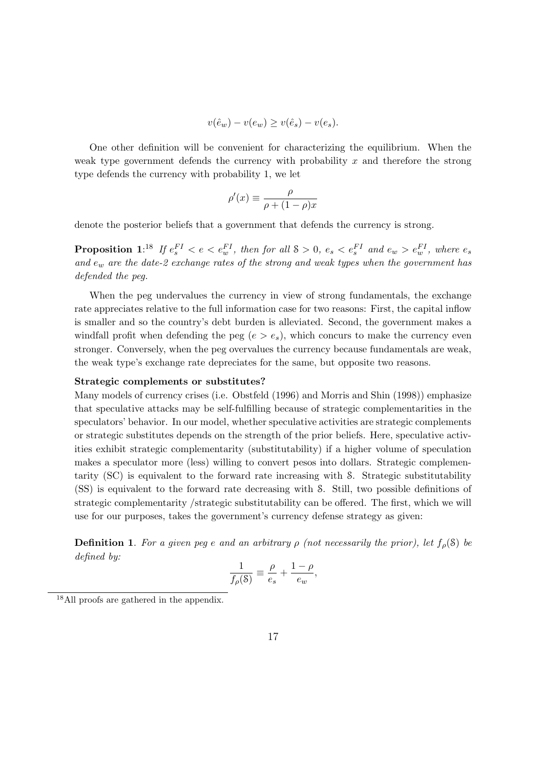$$
v(\hat{e}_w) - v(e_w) \ge v(\hat{e}_s) - v(e_s).
$$

One other definition will be convenient for characterizing the equilibrium. When the weak type government defends the currency with probability  $x$  and therefore the strong type defends the currency with probability 1, we let

$$
\rho'(x) \equiv \frac{\rho}{\rho + (1 - \rho)x}
$$

denote the posterior beliefs that a government that defends the currency is strong.

**Proposition** 1:<sup>18</sup> If  $e_s^{FI} < e < e_w^{FI}$ , then for all  $S > 0$ ,  $e_s < e_s^{FI}$  and  $e_w > e_w^{FI}$ , where  $e_s$ and  $e_w$  are the date-2 exchange rates of the strong and weak types when the government has defended the peg.

When the peg undervalues the currency in view of strong fundamentals, the exchange rate appreciates relative to the full information case for two reasons: First, the capital inflow is smaller and so the country's debt burden is alleviated. Second, the government makes a windfall profit when defending the peg  $(e > e_s)$ , which concurs to make the currency even stronger. Conversely, when the peg overvalues the currency because fundamentals are weak, the weak type's exchange rate depreciates for the same, but opposite two reasons.

#### Strategic complements or substitutes?

Many models of currency crises (i.e. Obstfeld (1996) and Morris and Shin (1998)) emphasize that speculative attacks may be self-fulfilling because of strategic complementarities in the speculators' behavior. In our model, whether speculative activities are strategic complements or strategic substitutes depends on the strength of the prior beliefs. Here, speculative activities exhibit strategic complementarity (substitutability) if a higher volume of speculation makes a speculator more (less) willing to convert pesos into dollars. Strategic complementarity (SC) is equivalent to the forward rate increasing with S. Strategic substitutability (SS) is equivalent to the forward rate decreasing with S. Still, two possible definitions of strategic complementarity /strategic substitutability can be offered. The first, which we will use for our purposes, takes the government's currency defense strategy as given:

**Definition 1.** For a given peg e and an arbitrary  $\rho$  (not necessarily the prior), let  $f_{\rho}(\delta)$  be defined by:

$$
\frac{1}{f_{\rho}(\mathbf{S})} \equiv \frac{\rho}{e_s} + \frac{1-\rho}{e_w},
$$

<sup>18</sup>All proofs are gathered in the appendix.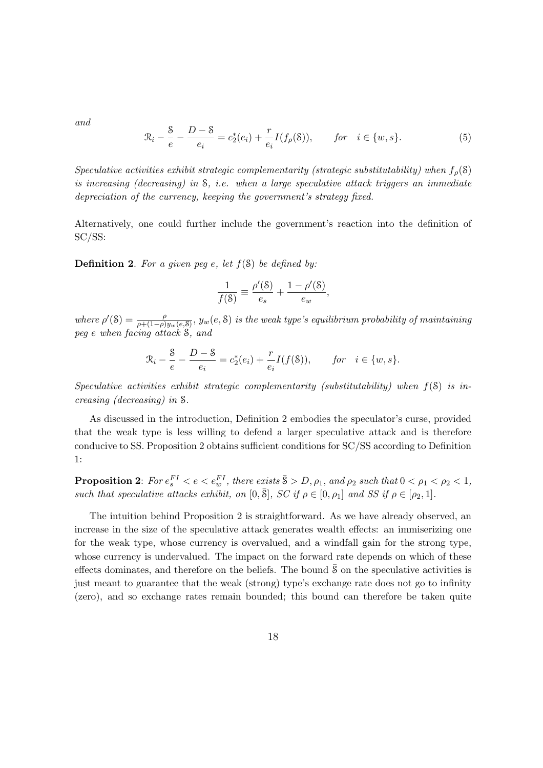and

$$
\mathcal{R}_i - \frac{S}{e} - \frac{D - S}{e_i} = c_2^*(e_i) + \frac{r}{e_i} I(f_\rho(\mathcal{S})), \qquad \text{for} \quad i \in \{w, s\}.
$$
 (5)

Speculative activities exhibit strategic complementarity (strategic substitutability) when  $f_{\rho}(\mathcal{S})$ is increasing (decreasing) in  $S$ , i.e. when a large speculative attack triggers an immediate depreciation of the currency, keeping the government's strategy fixed.

Alternatively, one could further include the government's reaction into the definition of SC/SS:

**Definition 2.** For a given peg e, let  $f(\mathcal{S})$  be defined by:

$$
\frac{1}{f(\mathbf{S})} \equiv \frac{\rho'(\mathbf{S})}{e_s} + \frac{1 - \rho'(\mathbf{S})}{e_w},
$$

where  $\rho'(8) = \frac{\rho}{\rho + (1-\rho)y_w(e,8)}$ ,  $y_w(e,8)$  is the weak type's equilibrium probability of maintaining peg e when facing attack S, and

$$
\mathcal{R}_i - \frac{8}{e} - \frac{D - 8}{e_i} = c_2^*(e_i) + \frac{r}{e_i}I(f(\mathcal{S})), \quad \text{for} \quad i \in \{w, s\}.
$$

Speculative activities exhibit strategic complementarity (substitutability) when  $f(\mathcal{S})$  is increasing (decreasing) in S.

As discussed in the introduction, Definition 2 embodies the speculator's curse, provided that the weak type is less willing to defend a larger speculative attack and is therefore conducive to SS. Proposition 2 obtains sufficient conditions for SC/SS according to Definition 1:

**Proposition 2**: For  $e_s^{FI} < e < e_w^{FI}$ , there exists  $\bar{S} > D, \rho_1$ , and  $\rho_2$  such that  $0 < \rho_1 < \rho_2 < 1$ , such that speculative attacks exhibit, on  $[0, \overline{S}]$ ,  $SC$  if  $\rho \in [0, \rho_1]$  and  $SS$  if  $\rho \in [\rho_2, 1]$ .

The intuition behind Proposition 2 is straightforward. As we have already observed, an increase in the size of the speculative attack generates wealth effects: an immiserizing one for the weak type, whose currency is overvalued, and a windfall gain for the strong type, whose currency is undervalued. The impact on the forward rate depends on which of these effects dominates, and therefore on the beliefs. The bound  $\delta$  on the speculative activities is just meant to guarantee that the weak (strong) type's exchange rate does not go to infinity (zero), and so exchange rates remain bounded; this bound can therefore be taken quite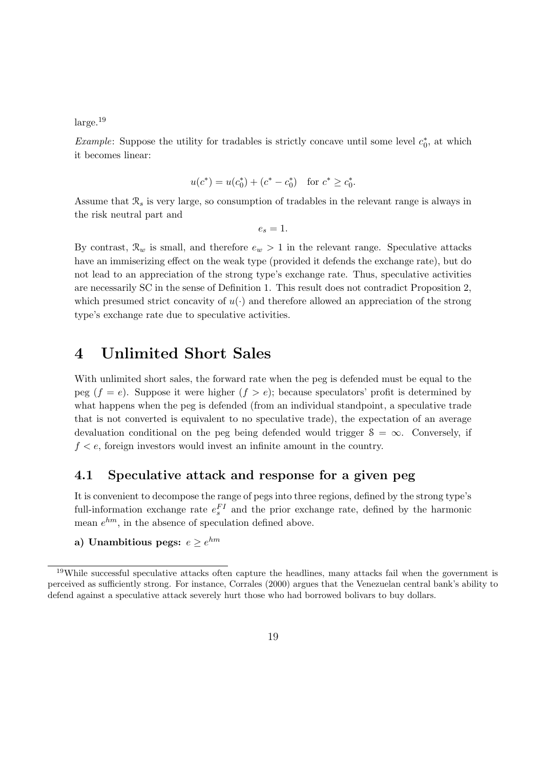$\rm large.$ <sup>19</sup>

*Example*: Suppose the utility for tradables is strictly concave until some level  $c_0^*$  $_{0}^{\ast}$ , at which it becomes linear:

$$
u(c^*) = u(c_0^*) + (c^* - c_0^*) \quad \text{for } c^* \ge c_0^*.
$$

Assume that  $\mathcal{R}_s$  is very large, so consumption of tradables in the relevant range is always in the risk neutral part and

$$
e_s=1.
$$

By contrast,  $\mathcal{R}_w$  is small, and therefore  $e_w > 1$  in the relevant range. Speculative attacks have an immiserizing effect on the weak type (provided it defends the exchange rate), but do not lead to an appreciation of the strong type's exchange rate. Thus, speculative activities are necessarily SC in the sense of Definition 1. This result does not contradict Proposition 2, which presumed strict concavity of  $u(\cdot)$  and therefore allowed an appreciation of the strong type's exchange rate due to speculative activities.

## 4 Unlimited Short Sales

With unlimited short sales, the forward rate when the peg is defended must be equal to the peg  $(f = e)$ . Suppose it were higher  $(f > e)$ ; because speculators' profit is determined by what happens when the peg is defended (from an individual standpoint, a speculative trade that is not converted is equivalent to no speculative trade), the expectation of an average devaluation conditional on the peg being defended would trigger  $S = \infty$ . Conversely, if  $f < e$ , foreign investors would invest an infinite amount in the country.

### 4.1 Speculative attack and response for a given peg

It is convenient to decompose the range of pegs into three regions, defined by the strong type's full-information exchange rate  $e_s^{FI}$  and the prior exchange rate, defined by the harmonic mean  $e^{hm}$ , in the absence of speculation defined above.

a) Unambitious pegs:  $e \geq e^{hm}$ 

<sup>19</sup>While successful speculative attacks often capture the headlines, many attacks fail when the government is perceived as sufficiently strong. For instance, Corrales (2000) argues that the Venezuelan central bank's ability to defend against a speculative attack severely hurt those who had borrowed bolivars to buy dollars.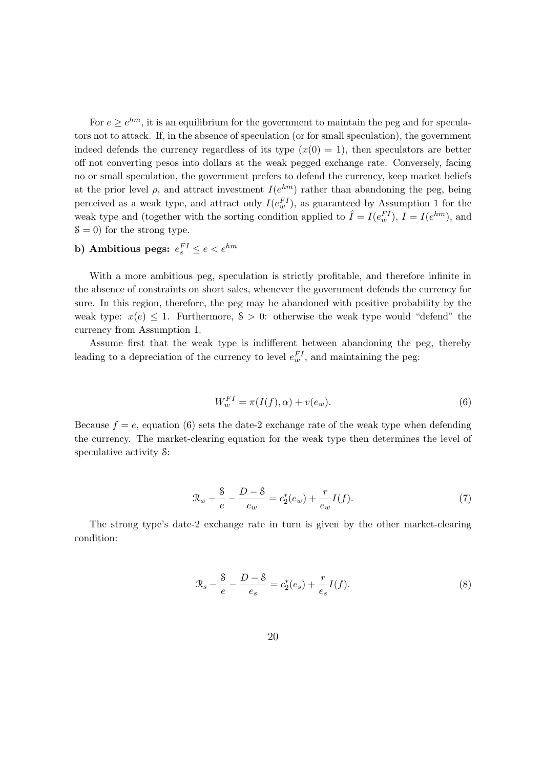For  $e \ge e^{hm}$ , it is an equilibrium for the government to maintain the peg and for speculators not to attack. If, in the absence of speculation (or for small speculation), the government indeed defends the currency regardless of its type  $(x(0) = 1)$ , then speculators are better off not converting pesos into dollars at the weak pegged exchange rate. Conversely, facing no or small speculation, the government prefers to defend the currency, keep market beliefs at the prior level  $\rho$ , and attract investment  $I(e^{hm})$  rather than abandoning the peg, being perceived as a weak type, and attract only  $I(e_w^{FI})$ , as guaranteed by Assumption 1 for the weak type and (together with the sorting condition applied to  $\hat{I} = I(e_w^{FI})$ ,  $I = I(e^{hm})$ , and  $\delta = 0$ ) for the strong type.

### b) Ambitious pegs:  $e_s^{FI} \leq e < e^{hm}$

With a more ambitious peg, speculation is strictly profitable, and therefore infinite in the absence of constraints on short sales, whenever the government defends the currency for sure. In this region, therefore, the peg may be abandoned with positive probability by the weak type:  $x(e) \leq 1$ . Furthermore,  $S > 0$ : otherwise the weak type would "defend" the currency from Assumption 1.

Assume first that the weak type is indifferent between abandoning the peg, thereby leading to a depreciation of the currency to level  $e_w^{FI}$ , and maintaining the peg:

$$
W_w^{FI} = \pi(I(f), \alpha) + v(e_w).
$$
\n<sup>(6)</sup>

Because  $f = e$ , equation (6) sets the date-2 exchange rate of the weak type when defending the currency. The market-clearing equation for the weak type then determines the level of speculative activity S:

$$
\mathcal{R}_w - \frac{8}{e} - \frac{D - 8}{e_w} = c_2^*(e_w) + \frac{r}{e_w}I(f). \tag{7}
$$

The strong type's date-2 exchange rate in turn is given by the other market-clearing condition:

$$
\mathcal{R}_s - \frac{8}{e} - \frac{D - 8}{e_s} = c_2^*(e_s) + \frac{r}{e_s}I(f). \tag{8}
$$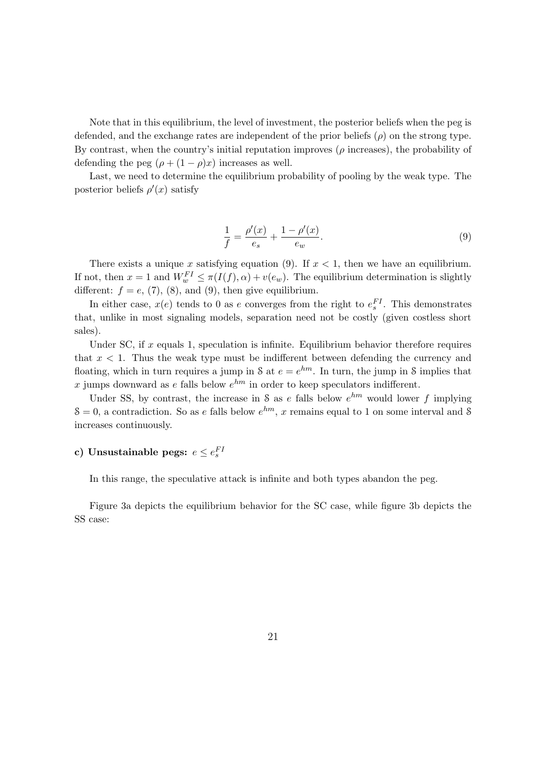Note that in this equilibrium, the level of investment, the posterior beliefs when the peg is defended, and the exchange rates are independent of the prior beliefs  $(\rho)$  on the strong type. By contrast, when the country's initial reputation improves  $(\rho$  increases), the probability of defending the peg  $(\rho + (1 - \rho)x)$  increases as well.

Last, we need to determine the equilibrium probability of pooling by the weak type. The posterior beliefs  $\rho'(x)$  satisfy

$$
\frac{1}{f} = \frac{\rho'(x)}{e_s} + \frac{1 - \rho'(x)}{e_w}.
$$
\n(9)

There exists a unique x satisfying equation (9). If  $x < 1$ , then we have an equilibrium. If not, then  $x = 1$  and  $W_w^{FI} \leq \pi(I(f), \alpha) + v(e_w)$ . The equilibrium determination is slightly different:  $f = e$ , (7), (8), and (9), then give equilibrium.

In either case,  $x(e)$  tends to 0 as e converges from the right to  $e_s^{FI}$ . This demonstrates that, unlike in most signaling models, separation need not be costly (given costless short sales).

Under SC, if  $x$  equals 1, speculation is infinite. Equilibrium behavior therefore requires that  $x < 1$ . Thus the weak type must be indifferent between defending the currency and floating, which in turn requires a jump in S at  $e = e^{hm}$ . In turn, the jump in S implies that x jumps downward as e falls below  $e^{hm}$  in order to keep speculators indifferent.

Under SS, by contrast, the increase in S as e falls below  $e^{hm}$  would lower f implying  $S = 0$ , a contradiction. So as e falls below  $e^{hm}$ , x remains equal to 1 on some interval and S increases continuously.

### c) Unsustainable pegs:  $e \leq e_s^{FI}$

In this range, the speculative attack is infinite and both types abandon the peg.

Figure 3a depicts the equilibrium behavior for the SC case, while figure 3b depicts the SS case: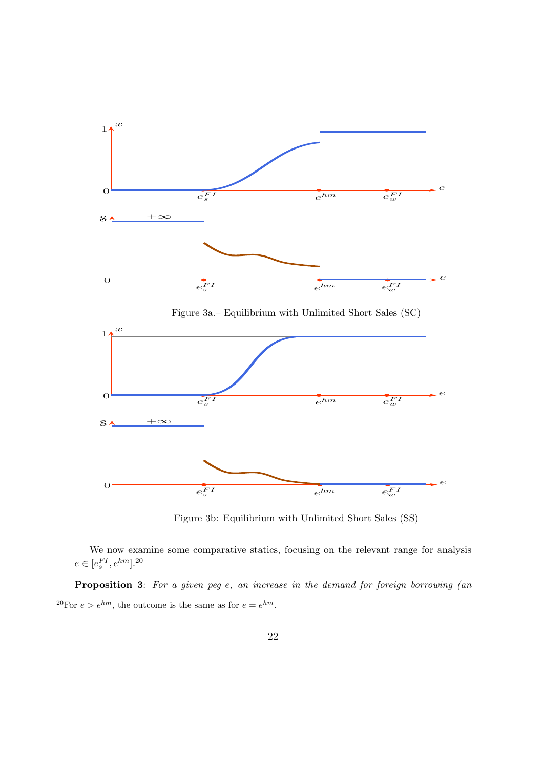

Figure 3b: Equilibrium with Unlimited Short Sales (SS)

We now examine some comparative statics, focusing on the relevant range for analysis  $e \in [e_s^{FI}, e^{hm}]$ .<sup>20</sup>

Proposition 3: For a given peg e, an increase in the demand for foreign borrowing (an <sup>20</sup>For  $e > e^{hm}$ , the outcome is the same as for  $e = e^{hm}$ .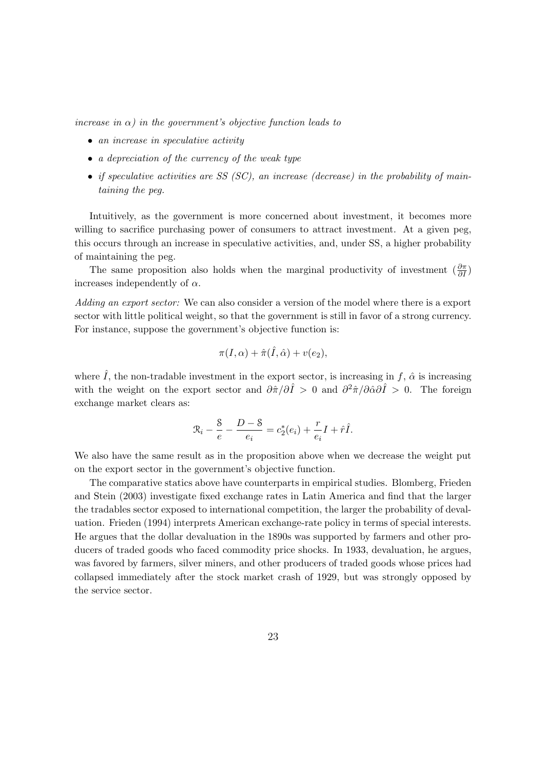increase in  $\alpha$ ) in the government's objective function leads to

- an increase in speculative activity
- a depreciation of the currency of the weak type
- if speculative activities are SS  $(SC)$ , an increase (decrease) in the probability of maintaining the peg.

Intuitively, as the government is more concerned about investment, it becomes more willing to sacrifice purchasing power of consumers to attract investment. At a given peg, this occurs through an increase in speculative activities, and, under SS, a higher probability of maintaining the peg.

The same proposition also holds when the marginal productivity of investment  $\left(\frac{\partial \pi}{\partial I}\right)$  $\frac{\partial \pi}{\partial I})$ increases independently of  $\alpha$ .

Adding an export sector: We can also consider a version of the model where there is a export sector with little political weight, so that the government is still in favor of a strong currency. For instance, suppose the government's objective function is:

$$
\pi(I,\alpha)+\hat{\pi}(\hat{I},\hat{\alpha})+v(e_2),
$$

where  $\hat{I}$ , the non-tradable investment in the export sector, is increasing in f,  $\hat{\alpha}$  is increasing with the weight on the export sector and  $\partial \hat{\pi}/\partial \hat{I} > 0$  and  $\partial^2 \hat{\pi}/\partial \hat{\alpha}\partial \hat{I} > 0$ . The foreign exchange market clears as:

$$
\mathfrak{R}_{i} - \frac{8}{e} - \frac{D - 8}{e_i} = c_2^*(e_i) + \frac{r}{e_i}I + \hat{r}\hat{I}.
$$

We also have the same result as in the proposition above when we decrease the weight put on the export sector in the government's objective function.

The comparative statics above have counterparts in empirical studies. Blomberg, Frieden and Stein (2003) investigate fixed exchange rates in Latin America and find that the larger the tradables sector exposed to international competition, the larger the probability of devaluation. Frieden (1994) interprets American exchange-rate policy in terms of special interests. He argues that the dollar devaluation in the 1890s was supported by farmers and other producers of traded goods who faced commodity price shocks. In 1933, devaluation, he argues, was favored by farmers, silver miners, and other producers of traded goods whose prices had collapsed immediately after the stock market crash of 1929, but was strongly opposed by the service sector.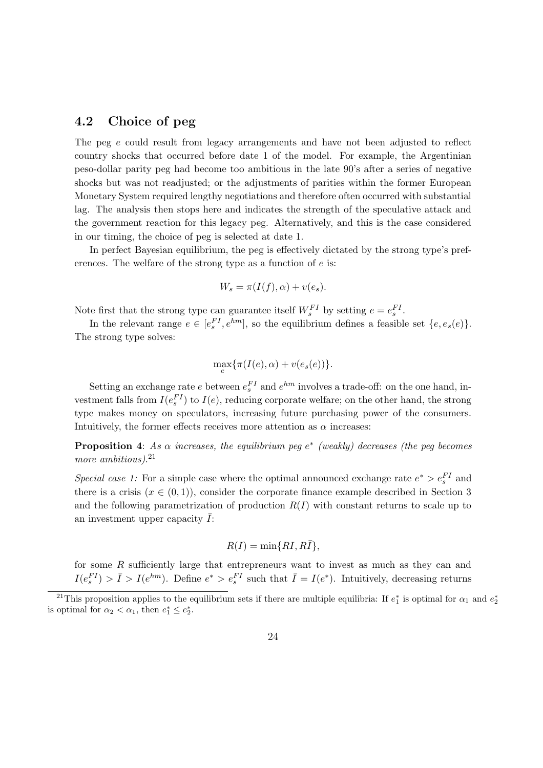### 4.2 Choice of peg

The peg e could result from legacy arrangements and have not been adjusted to reflect country shocks that occurred before date 1 of the model. For example, the Argentinian peso-dollar parity peg had become too ambitious in the late 90's after a series of negative shocks but was not readjusted; or the adjustments of parities within the former European Monetary System required lengthy negotiations and therefore often occurred with substantial lag. The analysis then stops here and indicates the strength of the speculative attack and the government reaction for this legacy peg. Alternatively, and this is the case considered in our timing, the choice of peg is selected at date 1.

In perfect Bayesian equilibrium, the peg is effectively dictated by the strong type's preferences. The welfare of the strong type as a function of  $e$  is:

$$
W_s = \pi(I(f), \alpha) + v(e_s).
$$

Note first that the strong type can guarantee itself  $W_s^{FI}$  by setting  $e = e_s^{FI}$ .

In the relevant range  $e \in [e_s^{FI}, e^{hm}]$ , so the equilibrium defines a feasible set  $\{e, e_s(e)\}.$ The strong type solves:

$$
\max_{e} {\tau(I(e), \alpha) + v(e_s(e))}.
$$

Setting an exchange rate e between  $e_s^{FI}$  and  $e^{hm}$  involves a trade-off: on the one hand, investment falls from  $I(e_s^{FI})$  to  $I(e)$ , reducing corporate welfare; on the other hand, the strong type makes money on speculators, increasing future purchasing power of the consumers. Intuitively, the former effects receives more attention as  $\alpha$  increases:

**Proposition 4:** As  $\alpha$  increases, the equilibrium peg  $e^*$  (weakly) decreases (the peg becomes more ambitious).<sup>21</sup>

Special case 1: For a simple case where the optimal announced exchange rate  $e^* > e_s^{FI}$  and there is a crisis  $(x \in (0,1))$ , consider the corporate finance example described in Section 3 and the following parametrization of production  $R(I)$  with constant returns to scale up to an investment upper capacity  $I$ :

$$
R(I) = \min\{RI, R\bar{I}\},\
$$

for some R sufficiently large that entrepreneurs want to invest as much as they can and  $I(e_s^{FI}) > \bar{I} > I(e^{hm})$ . Define  $e^* > e_s^{FI}$  such that  $\bar{I} = I(e^*)$ . Intuitively, decreasing returns

<sup>&</sup>lt;sup>21</sup>This proposition applies to the equilibrium sets if there are multiple equilibria: If  $e_1^*$  is optimal for  $\alpha_1$  and  $e_2^*$ is optimal for  $\alpha_2 < \alpha_1$ , then  $e_1^* \leq e_2^*$ .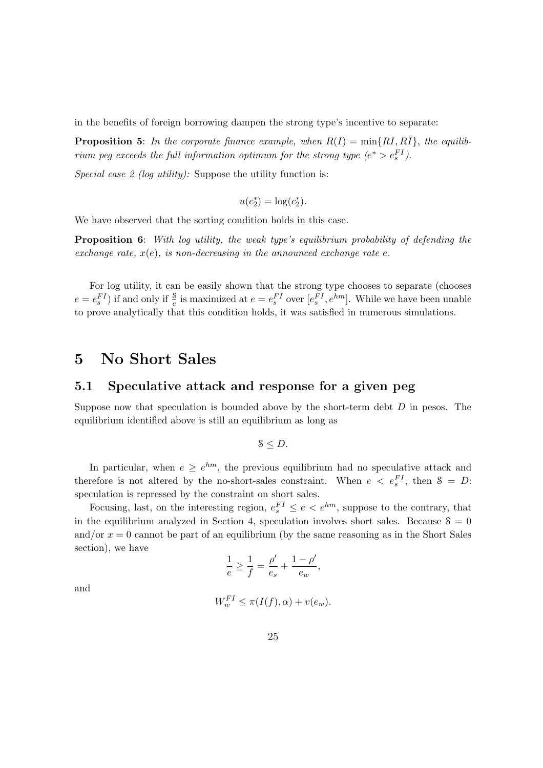in the benefits of foreign borrowing dampen the strong type's incentive to separate:

**Proposition 5:** In the corporate finance example, when  $R(I) = min\{RI, R\overline{I}\}$ , the equilibrium peg exceeds the full information optimum for the strong type  $(e^* > e_s^{FI})$ .

Special case 2 (log utility): Suppose the utility function is:

$$
u(c_2^*) = \log(c_2^*).
$$

We have observed that the sorting condition holds in this case.

**Proposition 6:** With log utility, the weak type's equilibrium probability of defending the exchange rate,  $x(e)$ , is non-decreasing in the announced exchange rate e.

For log utility, it can be easily shown that the strong type chooses to separate (chooses  $e = e_s^{FI}$ ) if and only if  $\frac{8}{e}$  is maximized at  $e = e_s^{FI}$  over  $[e_s^{FI}, e^{hm}]$ . While we have been unable to prove analytically that this condition holds, it was satisfied in numerous simulations.

## 5 No Short Sales

### 5.1 Speculative attack and response for a given peg

Suppose now that speculation is bounded above by the short-term debt  $D$  in pesos. The equilibrium identified above is still an equilibrium as long as

$$
8 \leq D.
$$

In particular, when  $e \geq e^{hm}$ , the previous equilibrium had no speculative attack and therefore is not altered by the no-short-sales constraint. When  $e < e_s^{FI}$ , then  $S = D$ : speculation is repressed by the constraint on short sales.

Focusing, last, on the interesting region,  $e_s^{FI} \le e \le e^{hm}$ , suppose to the contrary, that in the equilibrium analyzed in Section 4, speculation involves short sales. Because  $\delta = 0$ and/or  $x = 0$  cannot be part of an equilibrium (by the same reasoning as in the Short Sales section), we have

$$
\frac{1}{e}\geq \frac{1}{f}=\frac{\rho'}{e_s}+\frac{1-\rho'}{e_w},
$$

and

$$
W_w^{FI} \le \pi(I(f), \alpha) + v(e_w).
$$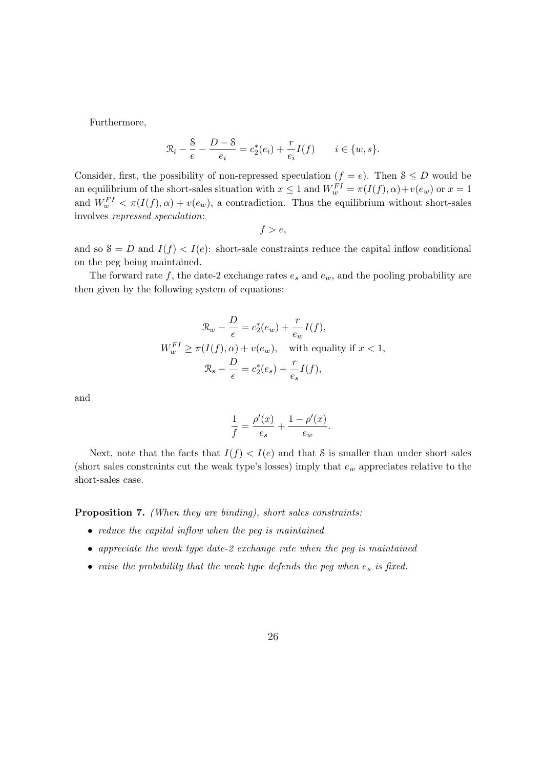Furthermore,

$$
\mathcal{R}_i - \frac{8}{e} - \frac{D - 8}{e_i} = c_2^*(e_i) + \frac{r}{e_i}I(f) \qquad i \in \{w, s\}.
$$

Consider, first, the possibility of non-repressed speculation  $(f = e)$ . Then  $S \leq D$  would be an equilibrium of the short-sales situation with  $x \leq 1$  and  $W_w^{FI} = \pi(I(f), \alpha) + v(e_w)$  or  $x = 1$ and  $W_w^{FI} < \pi(I(f), \alpha) + v(e_w)$ , a contradiction. Thus the equilibrium without short-sales involves repressed speculation:

$$
f > e,
$$

and so  $S = D$  and  $I(f) < I(e)$ : short-sale constraints reduce the capital inflow conditional on the peg being maintained.

The forward rate f, the date-2 exchange rates  $e_s$  and  $e_w$ , and the pooling probability are then given by the following system of equations:

$$
\mathcal{R}_w - \frac{D}{e} = c_2^*(e_w) + \frac{r}{e_w} I(f),
$$
  

$$
W_w^{FI} \ge \pi(I(f), \alpha) + v(e_w), \quad \text{with equality if } x < 1,
$$
  

$$
\mathcal{R}_s - \frac{D}{e} = c_2^*(e_s) + \frac{r}{e_s} I(f),
$$

and

$$
\frac{1}{f} = \frac{\rho'(x)}{e_s} + \frac{1 - \rho'(x)}{e_w}.
$$

Next, note that the facts that  $I(f) < I(e)$  and that S is smaller than under short sales (short sales constraints cut the weak type's losses) imply that  $e_w$  appreciates relative to the short-sales case.

Proposition 7. (When they are binding), short sales constraints:

- reduce the capital inflow when the peq is maintained
- appreciate the weak type date-2 exchange rate when the peg is maintained
- raise the probability that the weak type defends the peg when  $e_s$  is fixed.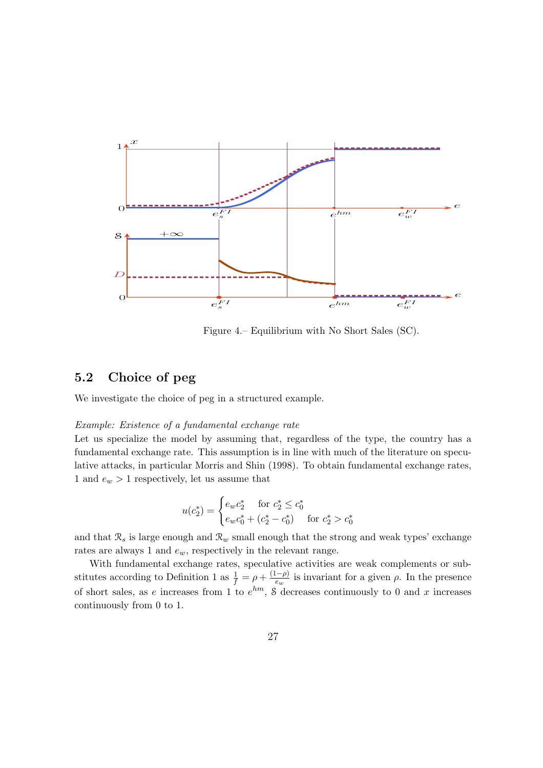

Figure 4.– Equilibrium with No Short Sales (SC).

 $\boldsymbol{0}$ 

### 5.2 Choice of peg

We investigate the choice of peg in a structured example.

### Example: Existence of a fundamental exchange rate

Let us specialize the model by assuming that, regardless of the type, the country has a fundamental exchange rate. This assumption is in line with much of the literature on speculative attacks, in particular Morris and Shin (1998). To obtain fundamental exchange rates, 1 and  $e_w > 1$  respectively, let us assume that

$$
u(c_2^*) = \begin{cases} e_w c_2^* & \text{for } c_2^* \le c_0^* \\ e_w c_0^* + (c_2^* - c_0^*) & \text{for } c_2^* > c_0^* \end{cases}
$$

and that  $\mathcal{R}_s$  is large enough and  $\mathcal{R}_w$  small enough that the strong and weak types' exchange rates are always 1 and  $e_w$ , respectively in the relevant range.

With fundamental exchange rates, speculative activities are weak complements or substitutes according to Definition 1 as  $\frac{1}{f} = \rho + \frac{(1-\rho)}{e_w}$  $\frac{(-\rho)}{e_w}$  is invariant for a given  $\rho$ . In the presence of short sales, as e increases from 1 to  $e^{hm}$ , 8 decreases continuously to 0 and x increases continuously from 0 to 1.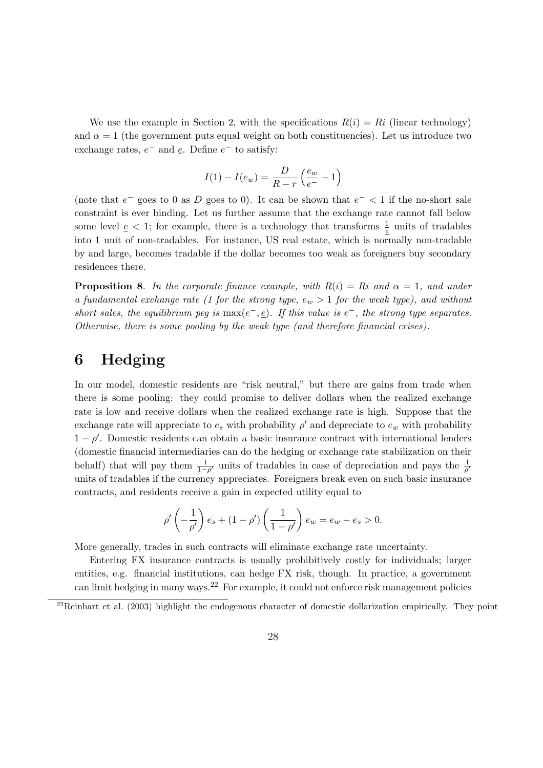We use the example in Section 2, with the specifications  $R(i) = Ri$  (linear technology) and  $\alpha = 1$  (the government puts equal weight on both constituencies). Let us introduce two exchange rates,  $e^-$  and  $\underline{e}$ . Define  $e^-$  to satisfy:

$$
I(1) - I(e_w) = \frac{D}{R - r} \left(\frac{e_w}{e^-} - 1\right)
$$

(note that  $e^-$  goes to 0 as D goes to 0). It can be shown that  $e^-$  < 1 if the no-short sale constraint is ever binding. Let us further assume that the exchange rate cannot fall below some level  $\underline{e} < 1$ ; for example, there is a technology that transforms  $\frac{1}{\underline{e}}$  units of tradables into 1 unit of non-tradables. For instance, US real estate, which is normally non-tradable by and large, becomes tradable if the dollar becomes too weak as foreigners buy secondary residences there.

**Proposition 8.** In the corporate finance example, with  $R(i) = Ri$  and  $\alpha = 1$ , and under a fundamental exchange rate (1 for the strong type,  $e_w > 1$  for the weak type), and without short sales, the equilibrium peg is  $\max(e^-, \underline{e})$ . If this value is  $e^-$ , the strong type separates. Otherwise, there is some pooling by the weak type (and therefore financial crises).

# 6 Hedging

In our model, domestic residents are "risk neutral," but there are gains from trade when there is some pooling: they could promise to deliver dollars when the realized exchange rate is low and receive dollars when the realized exchange rate is high. Suppose that the exchange rate will appreciate to  $e_s$  with probability  $\rho'$  and depreciate to  $e_w$  with probability  $1 - \rho'$ . Domestic residents can obtain a basic insurance contract with international lenders (domestic financial intermediaries can do the hedging or exchange rate stabilization on their behalf) that will pay them  $\frac{1}{1-\rho'}$  units of tradables in case of depreciation and pays the  $\frac{1}{\rho'}$ units of tradables if the currency appreciates. Foreigners break even on such basic insurance contracts, and residents receive a gain in expected utility equal to

$$
\rho' \left(-\frac{1}{\rho'}\right) e_s + (1 - \rho') \left(\frac{1}{1 - \rho'}\right) e_w = e_w - e_s > 0.
$$

More generally, trades in such contracts will eliminate exchange rate uncertainty.

Entering FX insurance contracts is usually prohibitively costly for individuals; larger entities, e.g. financial institutions, can hedge FX risk, though. In practice, a government can limit hedging in many ways.<sup>22</sup> For example, it could not enforce risk management policies

 $22$ Reinhart et al. (2003) highlight the endogenous character of domestic dollarization empirically. They point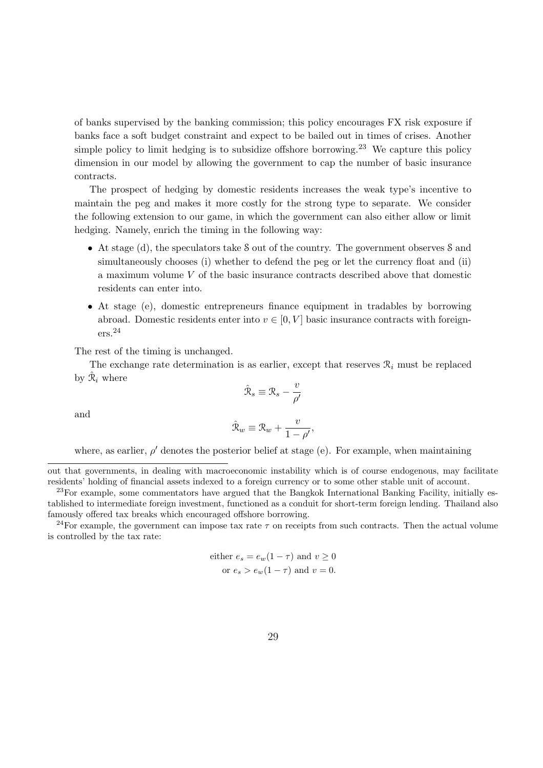of banks supervised by the banking commission; this policy encourages FX risk exposure if banks face a soft budget constraint and expect to be bailed out in times of crises. Another simple policy to limit hedging is to subsidize offshore borrowing.<sup>23</sup> We capture this policy dimension in our model by allowing the government to cap the number of basic insurance contracts.

The prospect of hedging by domestic residents increases the weak type's incentive to maintain the peg and makes it more costly for the strong type to separate. We consider the following extension to our game, in which the government can also either allow or limit hedging. Namely, enrich the timing in the following way:

- At stage (d), the speculators take S out of the country. The government observes S and simultaneously chooses (i) whether to defend the peg or let the currency float and (ii) a maximum volume V of the basic insurance contracts described above that domestic residents can enter into.
- At stage (e), domestic entrepreneurs finance equipment in tradables by borrowing abroad. Domestic residents enter into  $v \in [0, V]$  basic insurance contracts with foreigners.<sup>24</sup>

The rest of the timing is unchanged.

The exchange rate determination is as earlier, except that reserves  $\mathcal{R}_i$  must be replaced by  $\hat{\mathcal{R}}_i$  where

$$
\hat{\mathcal{R}}_s \equiv \mathcal{R}_s - \frac{v}{\rho'}
$$

and

$$
\hat{\mathcal{R}}_w \equiv \mathcal{R}_w + \frac{v}{1 - \rho'},
$$

where, as earlier,  $\rho'$  denotes the posterior belief at stage (e). For example, when maintaining

<sup>24</sup>For example, the government can impose tax rate  $\tau$  on receipts from such contracts. Then the actual volume is controlled by the tax rate:

either 
$$
e_s = e_w(1 - \tau)
$$
 and  $v \ge 0$   
or  $e_s > e_w(1 - \tau)$  and  $v = 0$ .

out that governments, in dealing with macroeconomic instability which is of course endogenous, may facilitate residents' holding of financial assets indexed to a foreign currency or to some other stable unit of account.

 $^{23}$ For example, some commentators have argued that the Bangkok International Banking Facility, initially established to intermediate foreign investment, functioned as a conduit for short-term foreign lending. Thailand also famously offered tax breaks which encouraged offshore borrowing.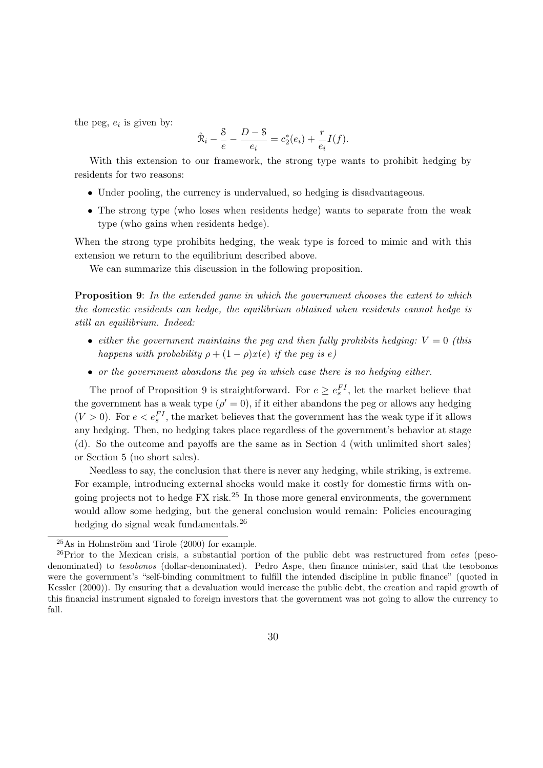the peg,  $e_i$  is given by:

$$
\hat{\mathcal{R}}_i - \frac{8}{e} - \frac{D-8}{e_i} = c_2^*(e_i) + \frac{r}{e_i}I(f).
$$

With this extension to our framework, the strong type wants to prohibit hedging by residents for two reasons:

- Under pooling, the currency is undervalued, so hedging is disadvantageous.
- The strong type (who loses when residents hedge) wants to separate from the weak type (who gains when residents hedge).

When the strong type prohibits hedging, the weak type is forced to mimic and with this extension we return to the equilibrium described above.

We can summarize this discussion in the following proposition.

**Proposition 9:** In the extended game in which the government chooses the extent to which the domestic residents can hedge, the equilibrium obtained when residents cannot hedge is still an equilibrium. Indeed:

- either the government maintains the peg and then fully prohibits hedging:  $V = 0$  (this happens with probability  $\rho + (1 - \rho)x(e)$  if the peg is e)
- or the government abandons the peg in which case there is no hedging either.

The proof of Proposition 9 is straightforward. For  $e \geq e_s^{FI}$ , let the market believe that the government has a weak type  $(\rho' = 0)$ , if it either abandons the peg or allows any hedging  $(V > 0)$ . For  $e < e_s^{FI}$ , the market believes that the government has the weak type if it allows any hedging. Then, no hedging takes place regardless of the government's behavior at stage (d). So the outcome and payoffs are the same as in Section 4 (with unlimited short sales) or Section 5 (no short sales).

Needless to say, the conclusion that there is never any hedging, while striking, is extreme. For example, introducing external shocks would make it costly for domestic firms with ongoing projects not to hedge  $FX$  risk.<sup>25</sup> In those more general environments, the government would allow some hedging, but the general conclusion would remain: Policies encouraging hedging do signal weak fundamentals.<sup>26</sup>

 $25As$  in Holmström and Tirole (2000) for example.

 $^{26}$ Prior to the Mexican crisis, a substantial portion of the public debt was restructured from cetes (pesodenominated) to *tesobonos* (dollar-denominated). Pedro Aspe, then finance minister, said that the tesobonos were the government's "self-binding commitment to fulfill the intended discipline in public finance" (quoted in Kessler (2000)). By ensuring that a devaluation would increase the public debt, the creation and rapid growth of this financial instrument signaled to foreign investors that the government was not going to allow the currency to fall.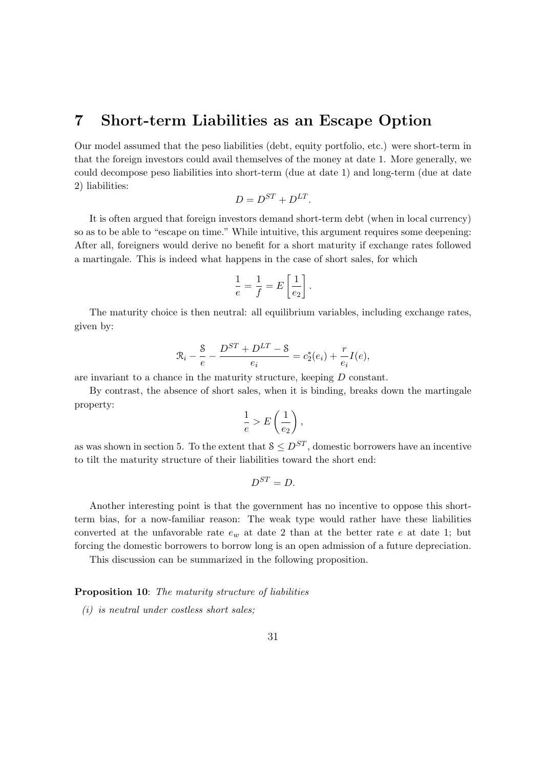## 7 Short-term Liabilities as an Escape Option

Our model assumed that the peso liabilities (debt, equity portfolio, etc.) were short-term in that the foreign investors could avail themselves of the money at date 1. More generally, we could decompose peso liabilities into short-term (due at date 1) and long-term (due at date 2) liabilities:

$$
D = D^{ST} + D^{LT}.
$$

It is often argued that foreign investors demand short-term debt (when in local currency) so as to be able to "escape on time." While intuitive, this argument requires some deepening: After all, foreigners would derive no benefit for a short maturity if exchange rates followed a martingale. This is indeed what happens in the case of short sales, for which

$$
\frac{1}{e} = \frac{1}{f} = E\left[\frac{1}{e_2}\right].
$$

The maturity choice is then neutral: all equilibrium variables, including exchange rates, given by:

$$
\mathcal{R}_i - \frac{8}{e} - \frac{D^{ST} + D^{LT} - 8}{e_i} = c_2^*(e_i) + \frac{r}{e_i}I(e),
$$

are invariant to a chance in the maturity structure, keeping D constant.

By contrast, the absence of short sales, when it is binding, breaks down the martingale property:

$$
\frac{1}{e} > E\left(\frac{1}{e_2}\right),\,
$$

as was shown in section 5. To the extent that  $S \leq D^{ST}$ , domestic borrowers have an incentive to tilt the maturity structure of their liabilities toward the short end:

$$
D^{ST}=D.
$$

Another interesting point is that the government has no incentive to oppose this shortterm bias, for a now-familiar reason: The weak type would rather have these liabilities converted at the unfavorable rate  $e_w$  at date 2 than at the better rate e at date 1; but forcing the domestic borrowers to borrow long is an open admission of a future depreciation.

This discussion can be summarized in the following proposition.

### Proposition 10: The maturity structure of liabilities

 $(i)$  is neutral under costless short sales;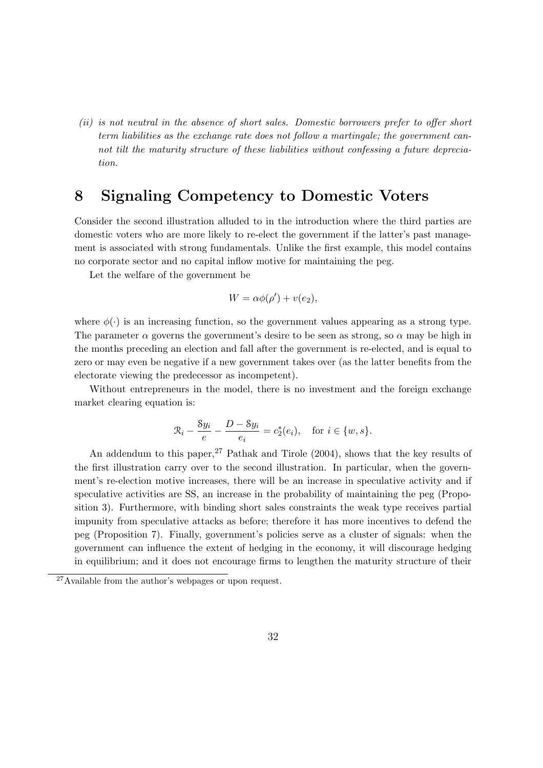(ii) is not neutral in the absence of short sales. Domestic borrowers prefer to offer short term liabilities as the exchange rate does not follow a martingale; the government cannot tilt the maturity structure of these liabilities without confessing a future depreciation.

## 8 Signaling Competency to Domestic Voters

Consider the second illustration alluded to in the introduction where the third parties are domestic voters who are more likely to re-elect the government if the latter's past management is associated with strong fundamentals. Unlike the first example, this model contains no corporate sector and no capital inflow motive for maintaining the peg.

Let the welfare of the government be

$$
W = \alpha \phi(\rho') + v(e_2),
$$

where  $\phi(\cdot)$  is an increasing function, so the government values appearing as a strong type. The parameter  $\alpha$  governs the government's desire to be seen as strong, so  $\alpha$  may be high in the months preceding an election and fall after the government is re-elected, and is equal to zero or may even be negative if a new government takes over (as the latter benefits from the electorate viewing the predecessor as incompetent).

Without entrepreneurs in the model, there is no investment and the foreign exchange market clearing equation is:

$$
\mathcal{R}_i - \frac{8y_i}{e} - \frac{D - 8y_i}{e_i} = c_2^*(e_i), \quad \text{for } i \in \{w, s\}.
$$

An addendum to this paper,  $27$  Pathak and Tirole (2004), shows that the key results of the first illustration carry over to the second illustration. In particular, when the government's re-election motive increases, there will be an increase in speculative activity and if speculative activities are SS, an increase in the probability of maintaining the peg (Proposition 3). Furthermore, with binding short sales constraints the weak type receives partial impunity from speculative attacks as before; therefore it has more incentives to defend the peg (Proposition 7). Finally, government's policies serve as a cluster of signals: when the government can influence the extent of hedging in the economy, it will discourage hedging in equilibrium; and it does not encourage firms to lengthen the maturity structure of their

<sup>27</sup>Available from the author's webpages or upon request.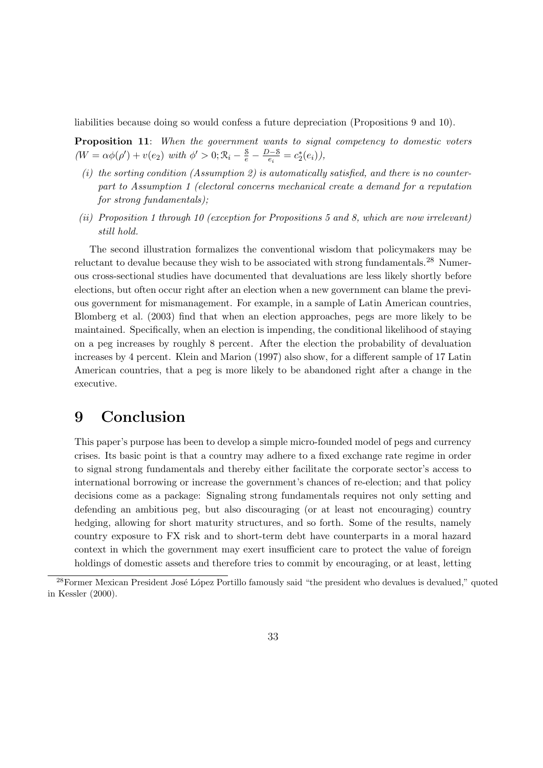liabilities because doing so would confess a future depreciation (Propositions 9 and 10).

Proposition 11: When the government wants to signal competency to domestic voters  $(W = \alpha \phi(\rho') + v(e_2) \text{ with } \phi' > 0; \mathcal{R}_i - \frac{8}{e} - \frac{D-8}{e_i}$  $\frac{b-8}{e_i} = c_2^*$  $_{2}^{*}(e_{i}),$ 

- (i) the sorting condition (Assumption 2) is automatically satisfied, and there is no counterpart to Assumption 1 (electoral concerns mechanical create a demand for a reputation for strong fundamentals);
- (ii) Proposition 1 through 10 (exception for Propositions 5 and 8, which are now irrelevant) still hold.

The second illustration formalizes the conventional wisdom that policymakers may be reluctant to devalue because they wish to be associated with strong fundamentals.<sup>28</sup> Numerous cross-sectional studies have documented that devaluations are less likely shortly before elections, but often occur right after an election when a new government can blame the previous government for mismanagement. For example, in a sample of Latin American countries, Blomberg et al. (2003) find that when an election approaches, pegs are more likely to be maintained. Specifically, when an election is impending, the conditional likelihood of staying on a peg increases by roughly 8 percent. After the election the probability of devaluation increases by 4 percent. Klein and Marion (1997) also show, for a different sample of 17 Latin American countries, that a peg is more likely to be abandoned right after a change in the executive.

# 9 Conclusion

This paper's purpose has been to develop a simple micro-founded model of pegs and currency crises. Its basic point is that a country may adhere to a fixed exchange rate regime in order to signal strong fundamentals and thereby either facilitate the corporate sector's access to international borrowing or increase the government's chances of re-election; and that policy decisions come as a package: Signaling strong fundamentals requires not only setting and defending an ambitious peg, but also discouraging (or at least not encouraging) country hedging, allowing for short maturity structures, and so forth. Some of the results, namely country exposure to FX risk and to short-term debt have counterparts in a moral hazard context in which the government may exert insufficient care to protect the value of foreign holdings of domestic assets and therefore tries to commit by encouraging, or at least, letting

<sup>&</sup>lt;sup>28</sup>Former Mexican President José López Portillo famously said "the president who devalues is devalued," quoted in Kessler (2000).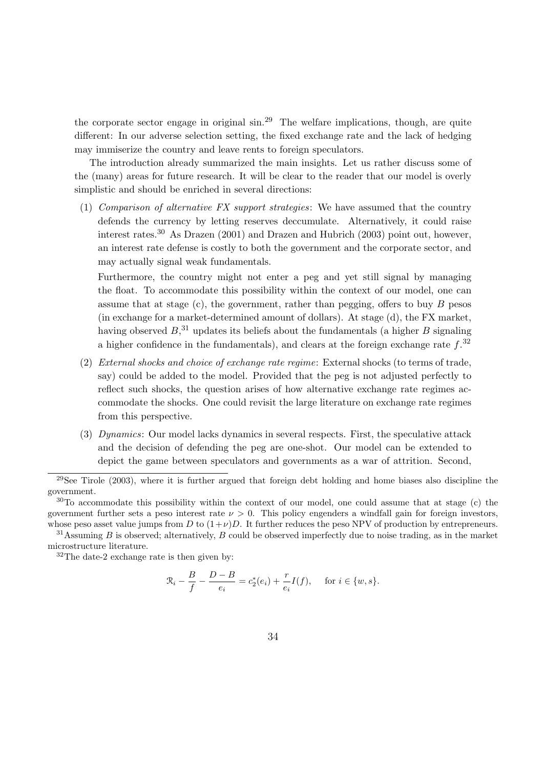the corporate sector engage in original  $\sin^{29}$  The welfare implications, though, are quite different: In our adverse selection setting, the fixed exchange rate and the lack of hedging may immiserize the country and leave rents to foreign speculators.

The introduction already summarized the main insights. Let us rather discuss some of the (many) areas for future research. It will be clear to the reader that our model is overly simplistic and should be enriched in several directions:

(1) Comparison of alternative FX support strategies: We have assumed that the country defends the currency by letting reserves deccumulate. Alternatively, it could raise interest rates.<sup>30</sup> As Drazen (2001) and Drazen and Hubrich (2003) point out, however, an interest rate defense is costly to both the government and the corporate sector, and may actually signal weak fundamentals.

Furthermore, the country might not enter a peg and yet still signal by managing the float. To accommodate this possibility within the context of our model, one can assume that at stage  $(c)$ , the government, rather than pegging, offers to buy B pesos (in exchange for a market-determined amount of dollars). At stage (d), the FX market, having observed  $B<sup>31</sup>$ , updates its beliefs about the fundamentals (a higher B signaling a higher confidence in the fundamentals), and clears at the foreign exchange rate  $f^{32}$ 

- (2) External shocks and choice of exchange rate regime: External shocks (to terms of trade, say) could be added to the model. Provided that the peg is not adjusted perfectly to reflect such shocks, the question arises of how alternative exchange rate regimes accommodate the shocks. One could revisit the large literature on exchange rate regimes from this perspective.
- (3) Dynamics: Our model lacks dynamics in several respects. First, the speculative attack and the decision of defending the peg are one-shot. Our model can be extended to depict the game between speculators and governments as a war of attrition. Second,

<sup>31</sup>Assuming B is observed; alternatively, B could be observed imperfectly due to noise trading, as in the market microstructure literature.

 $32$ The date-2 exchange rate is then given by:

$$
\mathcal{R}_i - \frac{B}{f} - \frac{D - B}{e_i} = c_2^*(e_i) + \frac{r}{e_i}I(f), \quad \text{ for } i \in \{w, s\}.
$$

 $^{29}$ See Tirole (2003), where it is further argued that foreign debt holding and home biases also discipline the government.

<sup>30</sup>To accommodate this possibility within the context of our model, one could assume that at stage (c) the government further sets a peso interest rate  $\nu > 0$ . This policy engenders a windfall gain for foreign investors, whose peso asset value jumps from D to  $(1+\nu)D$ . It further reduces the peso NPV of production by entrepreneurs.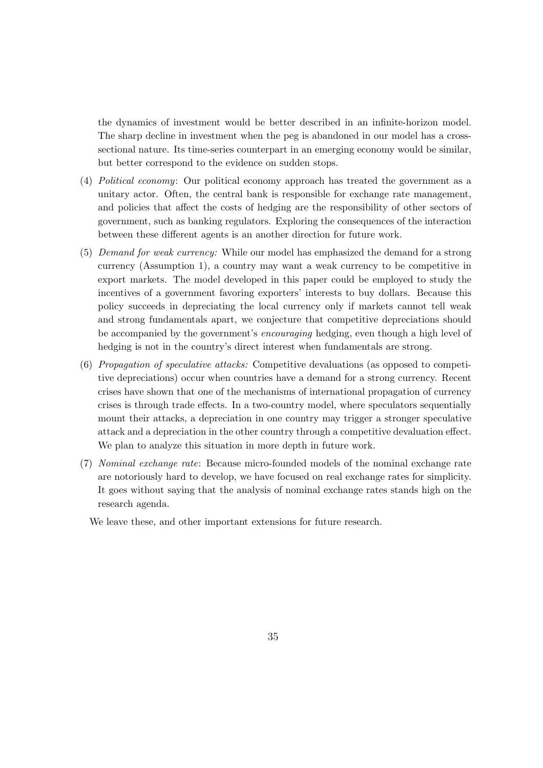the dynamics of investment would be better described in an infinite-horizon model. The sharp decline in investment when the peg is abandoned in our model has a crosssectional nature. Its time-series counterpart in an emerging economy would be similar, but better correspond to the evidence on sudden stops.

- (4) Political economy: Our political economy approach has treated the government as a unitary actor. Often, the central bank is responsible for exchange rate management, and policies that affect the costs of hedging are the responsibility of other sectors of government, such as banking regulators. Exploring the consequences of the interaction between these different agents is an another direction for future work.
- (5) Demand for weak currency: While our model has emphasized the demand for a strong currency (Assumption 1), a country may want a weak currency to be competitive in export markets. The model developed in this paper could be employed to study the incentives of a government favoring exporters' interests to buy dollars. Because this policy succeeds in depreciating the local currency only if markets cannot tell weak and strong fundamentals apart, we conjecture that competitive depreciations should be accompanied by the government's encouraging hedging, even though a high level of hedging is not in the country's direct interest when fundamentals are strong.
- (6) Propagation of speculative attacks: Competitive devaluations (as opposed to competitive depreciations) occur when countries have a demand for a strong currency. Recent crises have shown that one of the mechanisms of international propagation of currency crises is through trade effects. In a two-country model, where speculators sequentially mount their attacks, a depreciation in one country may trigger a stronger speculative attack and a depreciation in the other country through a competitive devaluation effect. We plan to analyze this situation in more depth in future work.
- (7) Nominal exchange rate: Because micro-founded models of the nominal exchange rate are notoriously hard to develop, we have focused on real exchange rates for simplicity. It goes without saying that the analysis of nominal exchange rates stands high on the research agenda.

We leave these, and other important extensions for future research.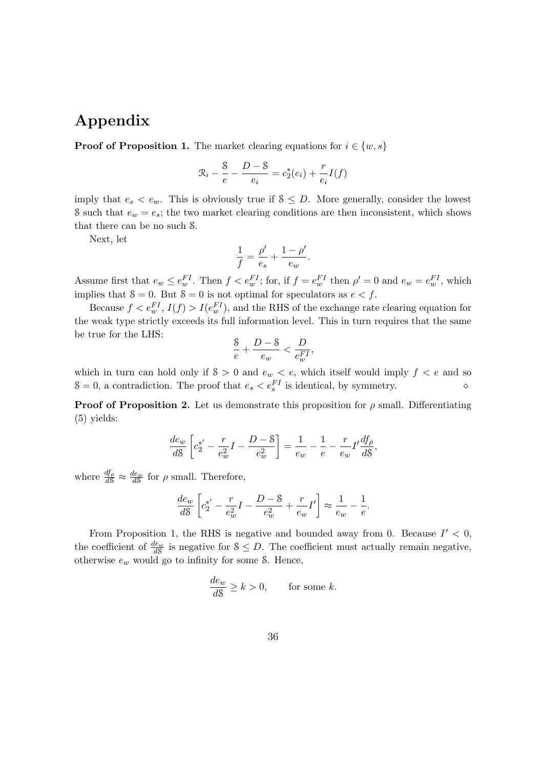# Appendix

**Proof of Proposition 1.** The market clearing equations for  $i \in \{w, s\}$ 

$$
\mathcal{R}_i - \frac{S}{e} - \frac{D - S}{e_i} = c_2^*(e_i) + \frac{r}{e_i}I(f)
$$

imply that  $e_s < e_w$ . This is obviously true if  $S \leq D$ . More generally, consider the lowest S such that  $e_w = e_s$ ; the two market clearing conditions are then inconsistent, which shows that there can be no such S.

Next, let

$$
\frac{1}{f} = \frac{\rho'}{e_s} + \frac{1-\rho'}{e_w}.
$$

Assume first that  $e_w \leq e_w^{FI}$ . Then  $f < e_w^{FI}$ ; for, if  $f = e_w^{FI}$  then  $\rho' = 0$  and  $e_w = e_w^{FI}$ , which implies that  $\delta = 0$ . But  $\delta = 0$  is not optimal for speculators as  $e < f$ .

Because  $f < e_w^{FI}$ ,  $I(f) > I(e_w^{FI})$ , and the RHS of the exchange rate clearing equation for the weak type strictly exceeds its full information level. This in turn requires that the same be true for the LHS:

$$
\frac{8}{e}+\frac{D-8}{e_w}<\frac{D}{e_w^{FI}},
$$

which in turn can hold only if  $S > 0$  and  $e_w < e$ , which itself would imply  $f < e$  and so  $S = 0$ , a contradiction. The proof that  $e_s < e_s^{FI}$  is identical, by symmetry.

**Proof of Proposition 2.** Let us demonstrate this proposition for  $\rho$  small. Differentiating (5) yields:

$$
\frac{de_w}{dS} \left[ c_2^* - \frac{r}{e_w^2} I - \frac{D - S}{e_w^2} \right] = \frac{1}{e_w} - \frac{1}{e} - \frac{r}{e_w} I' \frac{df_\rho}{dS},
$$

where  $\frac{df_{\rho}}{dS} \approx \frac{de_w}{dS}$  for  $\rho$  small. Therefore,

$$
\frac{de_w}{d\mathcal{S}}\left[c_2^{*'}-\frac{r}{e_w^2}I-\frac{D-\mathcal{S}}{e_w^2}+\frac{r}{e_w}I'\right]\approx \frac{1}{e_w}-\frac{1}{e}.
$$

From Proposition 1, the RHS is negative and bounded away from 0. Because  $I' < 0$ , the coefficient of  $\frac{de_w}{dS}$  is negative for  $S \leq D$ . The coefficient must actually remain negative, otherwise  $e_w$  would go to infinity for some S. Hence,

$$
\frac{de_w}{d\mathcal{S}} \ge k > 0, \qquad \text{for some } k.
$$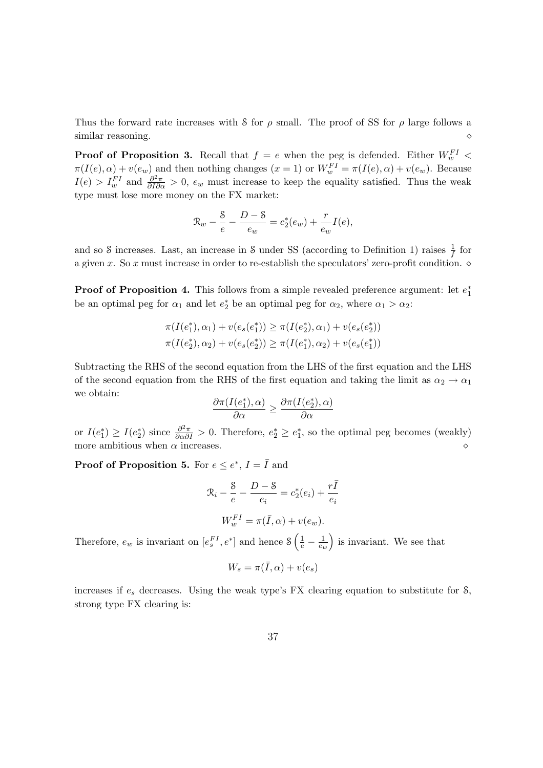Thus the forward rate increases with S for  $\rho$  small. The proof of SS for  $\rho$  large follows a similar reasoning.

**Proof of Proposition 3.** Recall that  $f = e$  when the peg is defended. Either  $W_w^{FI}$  <  $\pi(I(e), \alpha) + v(e_w)$  and then nothing changes  $(x = 1)$  or  $W_w^{FI} = \pi(I(e), \alpha) + v(e_w)$ . Because  $I(e) > I_w^{FI}$  and  $\frac{\partial^2 \pi}{\partial I \partial \alpha} > 0$ ,  $e_w$  must increase to keep the equality satisfied. Thus the weak type must lose more money on the FX market:

$$
\mathcal{R}_w - \frac{8}{e} - \frac{D - 8}{e_w} = c_2^*(e_w) + \frac{r}{e_w}I(e),
$$

and so S increases. Last, an increase in S under SS (according to Definition 1) raises  $\frac{1}{f}$  for a given x. So x must increase in order to re-establish the speculators' zero-profit condition.  $\diamond$ 

**Proof of Proposition 4.** This follows from a simple revealed preference argument: let  $e_1^*$ 1 be an optimal peg for  $\alpha_1$  and let  $e_2^*$  be an optimal peg for  $\alpha_2$ , where  $\alpha_1 > \alpha_2$ :

$$
\pi(I(e_1^*), \alpha_1) + v(e_s(e_1^*)) \ge \pi(I(e_2^*), \alpha_1) + v(e_s(e_2^*))
$$
  

$$
\pi(I(e_2^*), \alpha_2) + v(e_s(e_2^*)) \ge \pi(I(e_1^*), \alpha_2) + v(e_s(e_1^*))
$$

Subtracting the RHS of the second equation from the LHS of the first equation and the LHS of the second equation from the RHS of the first equation and taking the limit as  $\alpha_2 \to \alpha_1$ we obtain: ∗ ∗

$$
\frac{\partial \pi(I(e_1^*), \alpha)}{\partial \alpha} \ge \frac{\partial \pi(I(e_2^*), \alpha)}{\partial \alpha}
$$

or  $I(e_1^*)$  $_1^*$ )  $\geq I(e_2^*$ <sup>\*</sup><sub>2</sub>) since  $\frac{\partial^2 \pi}{\partial \alpha \partial I} > 0$ . Therefore,  $e_2^* \geq e_1^*$ 1 , so the optimal peg becomes (weakly) more ambitious when  $\alpha$  increases.

**Proof of Proposition 5.** For  $e \leq e^*$ ,  $I = \overline{I}$  and

$$
\mathcal{R}_i - \frac{8}{e} - \frac{D - 8}{e_i} = c_2^*(e_i) + \frac{r\bar{I}}{e_i}
$$

$$
W_w^{FI} = \pi(\bar{I}, \alpha) + v(e_w).
$$

Therefore,  $e_w$  is invariant on  $[e_s^{FI}, e^*]$  and hence  $\mathcal{S}\left(\frac{1}{e}-\frac{1}{e_w}\right)$  is invariant. We see that

$$
W_s = \pi(\bar{I}, \alpha) + v(e_s)
$$

increases if  $e_s$  decreases. Using the weak type's FX clearing equation to substitute for  $\delta$ , strong type FX clearing is: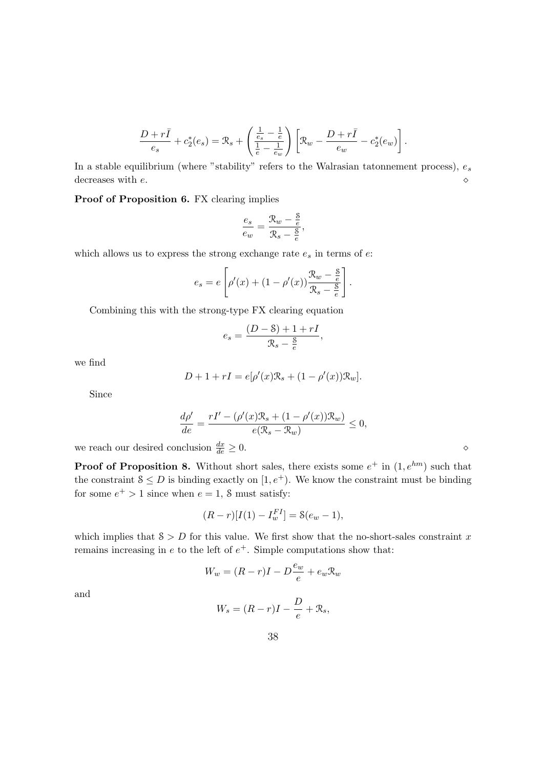$$
\frac{D+r\bar{I}}{e_s} + c_2^*(e_s) = \mathcal{R}_s + \left(\frac{\frac{1}{e_s}-\frac{1}{e}}{\frac{1}{e}-\frac{1}{e_w}}\right) \left[\mathcal{R}_w - \frac{D+r\bar{I}}{e_w} - c_2^*(e_w)\right].
$$

In a stable equilibrium (where "stability" refers to the Walrasian tatonnement process),  $e_s$ decreases with  $e$ .

### Proof of Proposition 6. FX clearing implies

$$
\frac{e_s}{e_w} = \frac{\mathcal{R}_w - \frac{\mathcal{S}}{e}}{\mathcal{R}_s - \frac{\mathcal{S}}{e}}
$$

,

which allows us to express the strong exchange rate  $e_s$  in terms of  $e$ :

$$
e_s = e \left[ \rho'(x) + (1 - \rho'(x)) \frac{\mathcal{R}_w - \frac{8}{e}}{\mathcal{R}_s - \frac{8}{e}} \right].
$$

Combining this with the strong-type FX clearing equation

$$
e_s = \frac{(D - S) + 1 + rI}{\mathcal{R}_s - \frac{S}{e}},
$$

we find

$$
D + 1 + rI = e[\rho'(x)\mathcal{R}_s + (1 - \rho'(x))\mathcal{R}_w].
$$

Since

$$
\frac{d\rho'}{de} = \frac{rI' - (\rho'(x)\mathcal{R}_s + (1 - \rho'(x))\mathcal{R}_w)}{e(\mathcal{R}_s - \mathcal{R}_w)} \le 0,
$$

we reach our desired conclusion  $\frac{dx}{de} \geq 0$ .

**Proof of Proposition 8.** Without short sales, there exists some  $e^+$  in  $(1, e^{hm})$  such that the constraint  $S \leq D$  is binding exactly on  $[1, e^+]$ . We know the constraint must be binding for some  $e^+ > 1$  since when  $e = 1$ , S must satisfy:

$$
(R - r)[I(1) - I_w^{FI}] = \mathcal{S}(e_w - 1),
$$

which implies that  $S > D$  for this value. We first show that the no-short-sales constraint x remains increasing in  $e$  to the left of  $e^+$ . Simple computations show that:

$$
W_w = (R - r)I - D\frac{e_w}{e} + e_w \mathcal{R}_w
$$

and

$$
W_s = (R - r)I - \frac{D}{e} + \mathfrak{R}_s,
$$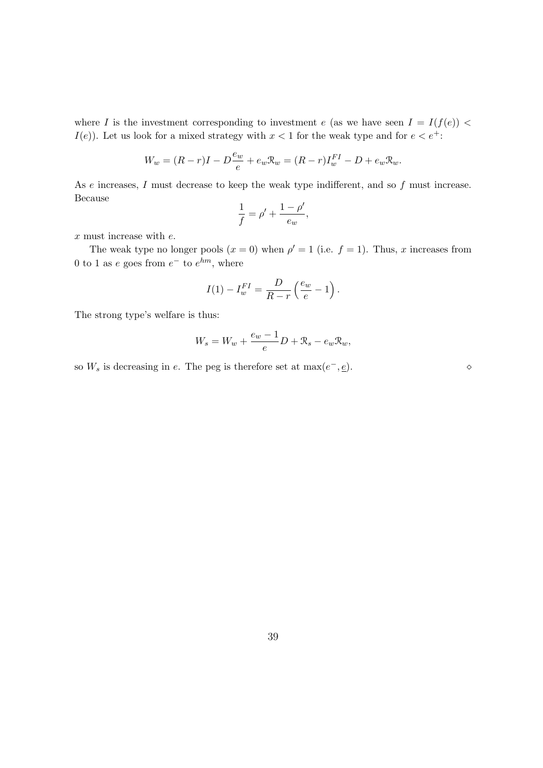where I is the investment corresponding to investment e (as we have seen  $I = I(f(e))$  $I(e)$ ). Let us look for a mixed strategy with  $x < 1$  for the weak type and for  $e < e^+$ :

$$
W_w = (R - r)I - D\frac{e_w}{e} + e_w \mathcal{R}_w = (R - r)I_w^{FI} - D + e_w \mathcal{R}_w.
$$

As e increases, I must decrease to keep the weak type indifferent, and so f must increase. Because

$$
\frac{1}{f} = \rho' + \frac{1-\rho'}{e_w},
$$

 $x$  must increase with  $e$ .

The weak type no longer pools  $(x = 0)$  when  $\rho' = 1$  (i.e.  $f = 1$ ). Thus, x increases from 0 to 1 as e goes from  $e^-$  to  $e^{hm}$ , where

$$
I(1) - I_w^{FI} = \frac{D}{R - r} \left(\frac{e_w}{e} - 1\right).
$$

The strong type's welfare is thus:

$$
W_s = W_w + \frac{e_w - 1}{e}D + \mathcal{R}_s - e_w \mathcal{R}_w,
$$

so  $W_s$  is decreasing in e. The peg is therefore set at  $\max(e^-,\underline{e})$ .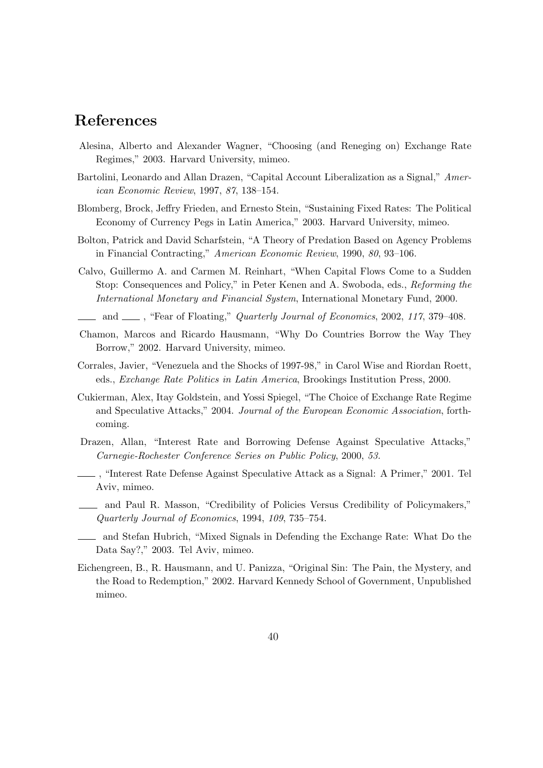## References

- Alesina, Alberto and Alexander Wagner, "Choosing (and Reneging on) Exchange Rate Regimes," 2003. Harvard University, mimeo.
- Bartolini, Leonardo and Allan Drazen, "Capital Account Liberalization as a Signal," American Economic Review, 1997, 87, 138–154.
- Blomberg, Brock, Jeffry Frieden, and Ernesto Stein, "Sustaining Fixed Rates: The Political Economy of Currency Pegs in Latin America," 2003. Harvard University, mimeo.
- Bolton, Patrick and David Scharfstein, "A Theory of Predation Based on Agency Problems in Financial Contracting," American Economic Review, 1990, 80, 93–106.
- Calvo, Guillermo A. and Carmen M. Reinhart, "When Capital Flows Come to a Sudden Stop: Consequences and Policy," in Peter Kenen and A. Swoboda, eds., Reforming the International Monetary and Financial System, International Monetary Fund, 2000.
- and  $\_\_\_\$ , "Fear of Floating," Quarterly Journal of Economics, 2002, 117, 379–408.
- Chamon, Marcos and Ricardo Hausmann, "Why Do Countries Borrow the Way They Borrow," 2002. Harvard University, mimeo.
- Corrales, Javier, "Venezuela and the Shocks of 1997-98," in Carol Wise and Riordan Roett, eds., Exchange Rate Politics in Latin America, Brookings Institution Press, 2000.
- Cukierman, Alex, Itay Goldstein, and Yossi Spiegel, "The Choice of Exchange Rate Regime and Speculative Attacks," 2004. Journal of the European Economic Association, forthcoming.
- Drazen, Allan, "Interest Rate and Borrowing Defense Against Speculative Attacks," Carnegie-Rochester Conference Series on Public Policy, 2000, 53.
- , "Interest Rate Defense Against Speculative Attack as a Signal: A Primer," 2001. Tel Aviv, mimeo.
- and Paul R. Masson, "Credibility of Policies Versus Credibility of Policymakers," Quarterly Journal of Economics, 1994, 109, 735–754.
- and Stefan Hubrich, "Mixed Signals in Defending the Exchange Rate: What Do the Data Say?," 2003. Tel Aviv, mimeo.
- Eichengreen, B., R. Hausmann, and U. Panizza, "Original Sin: The Pain, the Mystery, and the Road to Redemption," 2002. Harvard Kennedy School of Government, Unpublished mimeo.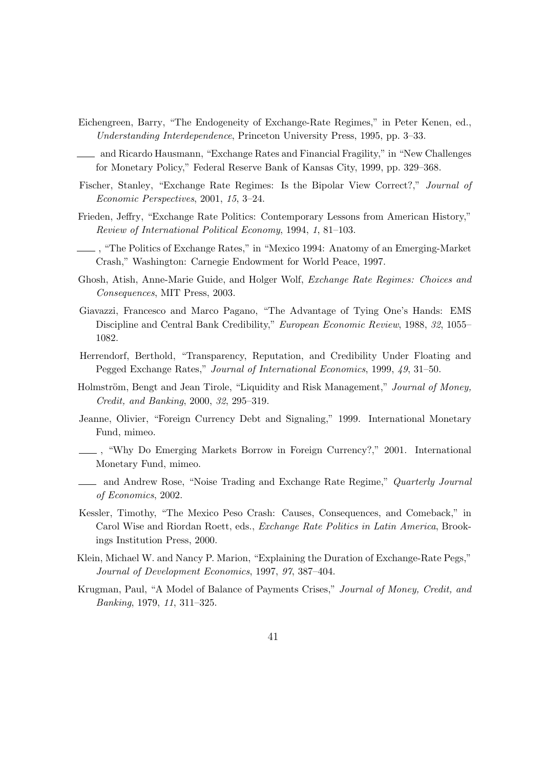- Eichengreen, Barry, "The Endogeneity of Exchange-Rate Regimes," in Peter Kenen, ed., Understanding Interdependence, Princeton University Press, 1995, pp. 3–33.
- and Ricardo Hausmann, "Exchange Rates and Financial Fragility," in "New Challenges for Monetary Policy," Federal Reserve Bank of Kansas City, 1999, pp. 329–368.
- Fischer, Stanley, "Exchange Rate Regimes: Is the Bipolar View Correct?," Journal of Economic Perspectives, 2001, 15, 3–24.
- Frieden, Jeffry, "Exchange Rate Politics: Contemporary Lessons from American History," Review of International Political Economy, 1994, 1, 81–103.
- , "The Politics of Exchange Rates," in "Mexico 1994: Anatomy of an Emerging-Market Crash," Washington: Carnegie Endowment for World Peace, 1997.
- Ghosh, Atish, Anne-Marie Guide, and Holger Wolf, Exchange Rate Regimes: Choices and Consequences, MIT Press, 2003.
- Giavazzi, Francesco and Marco Pagano, "The Advantage of Tying One's Hands: EMS Discipline and Central Bank Credibility," European Economic Review, 1988, 32, 1055– 1082.
- Herrendorf, Berthold, "Transparency, Reputation, and Credibility Under Floating and Pegged Exchange Rates," Journal of International Economics, 1999, 49, 31–50.
- Holmström, Bengt and Jean Tirole, "Liquidity and Risk Management," Journal of Money, Credit, and Banking, 2000, 32, 295–319.
- Jeanne, Olivier, "Foreign Currency Debt and Signaling," 1999. International Monetary Fund, mimeo.
- , "Why Do Emerging Markets Borrow in Foreign Currency?," 2001. International Monetary Fund, mimeo.
- <sub>d</sub> and Andrew Rose, "Noise Trading and Exchange Rate Regime," *Quarterly Journal* of Economics, 2002.
- Kessler, Timothy, "The Mexico Peso Crash: Causes, Consequences, and Comeback," in Carol Wise and Riordan Roett, eds., Exchange Rate Politics in Latin America, Brookings Institution Press, 2000.
- Klein, Michael W. and Nancy P. Marion, "Explaining the Duration of Exchange-Rate Pegs," Journal of Development Economics, 1997, 97, 387–404.
- Krugman, Paul, "A Model of Balance of Payments Crises," Journal of Money, Credit, and Banking, 1979, 11, 311–325.